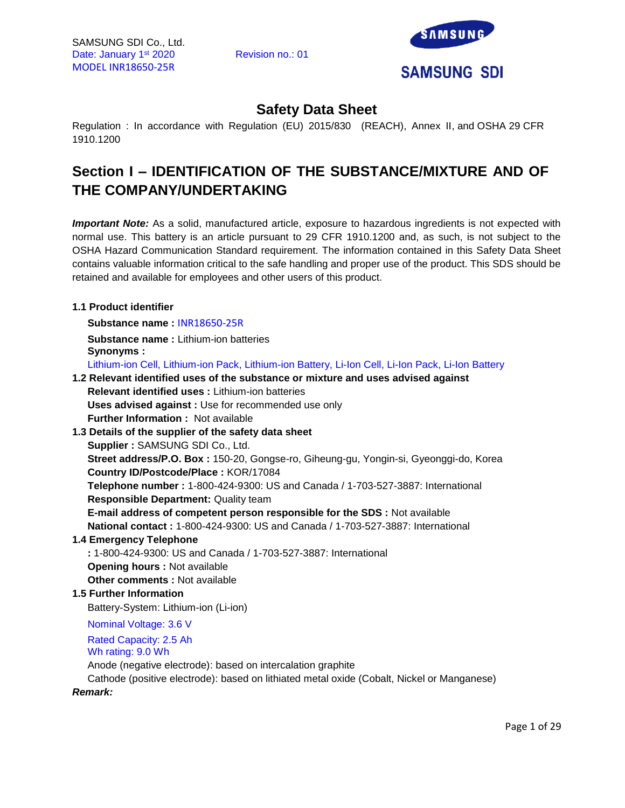

# **Safety Data Sheet**

Regulation : In accordance with Regulation (EU) 2015/830 (REACH), Annex II, and OSHA 29 CFR 1910.1200

# **Section I – IDENTIFICATION OF THE SUBSTANCE/MIXTURE AND OF THE COMPANY/UNDERTAKING**

*Important Note:* As a solid, manufactured article, exposure to hazardous ingredients is not expected with normal use. This battery is an article pursuant to 29 CFR 1910.1200 and, as such, is not subject to the OSHA Hazard Communication Standard requirement. The information contained in this Safety Data Sheet contains valuable information critical to the safe handling and proper use of the product. This SDS should be retained and available for employees and other users of this product.

# **1.1 Product identifier**

**Substance name :** INR18650-25R

**Substance name :** Lithium-ion batteries **Synonyms :** 

Lithium-ion Cell, Lithium-ion Pack, Lithium-ion Battery, Li-Ion Cell, Li-Ion Pack, Li-Ion Battery

# **1.2 Relevant identified uses of the substance or mixture and uses advised against Relevant identified uses :** Lithium-ion batteries

**Uses advised against :** Use for recommended use only **Further Information :** Not available

**1.3 Details of the supplier of the safety data sheet Supplier :** SAMSUNG SDI Co., Ltd.

**Street address/P.O. Box :** 150-20, Gongse-ro, Giheung-gu, Yongin-si, Gyeonggi-do, Korea **Country ID/Postcode/Place :** KOR/17084

**Telephone number :** 1-800-424-9300: US and Canada / 1-703-527-3887: International **Responsible Department:** Quality team

**E-mail address of competent person responsible for the SDS :** Not available **National contact :** 1-800-424-9300: US and Canada / 1-703-527-3887: International

# **1.4 Emergency Telephone**

**:** 1-800-424-9300: US and Canada / 1-703-527-3887: International **Opening hours :** Not available **Other comments :** Not available

# **1.5 Further Information**

Battery-System: Lithium-ion (Li-ion)

Nominal Voltage: 3.6 V

Rated Capacity: 2.5 Ah

Wh rating: 9.0 Wh

Anode (negative electrode): based on intercalation graphite

Cathode (positive electrode): based on lithiated metal oxide (Cobalt, Nickel or Manganese)

*Remark:*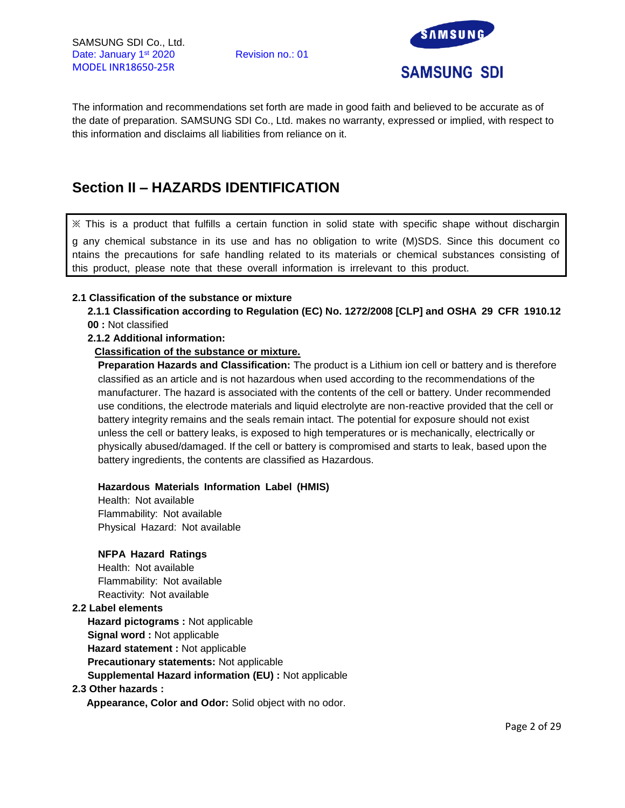

The information and recommendations set forth are made in good faith and believed to be accurate as of the date of preparation. SAMSUNG SDI Co., Ltd. makes no warranty, expressed or implied, with respect to this information and disclaims all liabilities from reliance on it.

# **Section II – HAZARDS IDENTIFICATION**

※ This is a product that fulfills a certain function in solid state with specific shape without dischargin g any chemical substance in its use and has no obligation to write (M)SDS. Since this document co ntains the precautions for safe handling related to its materials or chemical substances consisting of this product, please note that these overall information is irrelevant to this product.

#### **2.1 Classification of the substance or mixture**

**2.1.1 Classification according to Regulation (EC) No. 1272/2008 [CLP] and OSHA 29 CFR 1910.12 00 :** Not classified

#### **2.1.2 Additional information:**

#### **Classification of the substance or mixture.**

**Preparation Hazards and Classification:** The product is a Lithium ion cell or battery and is therefore classified as an article and is not hazardous when used according to the recommendations of the manufacturer. The hazard is associated with the contents of the cell or battery. Under recommended use conditions, the electrode materials and liquid electrolyte are non-reactive provided that the cell or battery integrity remains and the seals remain intact. The potential for exposure should not exist unless the cell or battery leaks, is exposed to high temperatures or is mechanically, electrically or physically abused/damaged. If the cell or battery is compromised and starts to leak, based upon the battery ingredients, the contents are classified as Hazardous.

#### **Hazardous Materials Information Label (HMIS)**

Health: Not available Flammability: Not available Physical Hazard: Not available

#### **NFPA Hazard Ratings**

Health: Not available Flammability: Not available Reactivity: Not available

#### **2.2 Label elements**

**Hazard pictograms :** Not applicable **Signal word :** Not applicable **Hazard statement :** Not applicable **Precautionary statements:** Not applicable **Supplemental Hazard information (EU) :** Not applicable

#### **2.3 Other hazards :**

**Appearance, Color and Odor:** Solid object with no odor.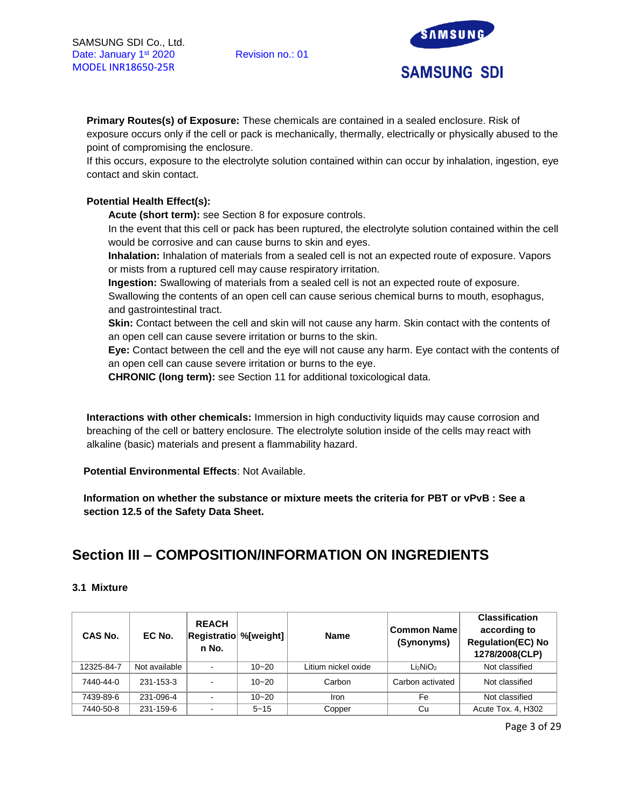

**Primary Routes(s) of Exposure:** These chemicals are contained in a sealed enclosure. Risk of exposure occurs only if the cell or pack is mechanically, thermally, electrically or physically abused to the point of compromising the enclosure.

If this occurs, exposure to the electrolyte solution contained within can occur by inhalation, ingestion, eye contact and skin contact.

# **Potential Health Effect(s):**

**Acute (short term):** see Section 8 for exposure controls.

In the event that this cell or pack has been ruptured, the electrolyte solution contained within the cell would be corrosive and can cause burns to skin and eyes.

**Inhalation:** Inhalation of materials from a sealed cell is not an expected route of exposure. Vapors or mists from a ruptured cell may cause respiratory irritation.

**Ingestion:** Swallowing of materials from a sealed cell is not an expected route of exposure.

Swallowing the contents of an open cell can cause serious chemical burns to mouth, esophagus, and gastrointestinal tract.

**Skin:** Contact between the cell and skin will not cause any harm. Skin contact with the contents of an open cell can cause severe irritation or burns to the skin.

**Eye:** Contact between the cell and the eye will not cause any harm. Eye contact with the contents of an open cell can cause severe irritation or burns to the eye.

**CHRONIC (long term):** see Section 11 for additional toxicological data.

**Interactions with other chemicals:** Immersion in high conductivity liquids may cause corrosion and breaching of the cell or battery enclosure. The electrolyte solution inside of the cells may react with alkaline (basic) materials and present a flammability hazard.

**Potential Environmental Effects**: Not Available.

**Information on whether the substance or mixture meets the criteria for PBT or vPvB : See a section 12.5 of the Safety Data Sheet.**

# **Section III – COMPOSITION/INFORMATION ON INGREDIENTS**

#### **3.1 Mixture**

| <b>CAS No.</b> | EC No.        | <b>REACH</b><br><b>Registratio %</b> [weight]<br>n No. |           | <b>Name</b>         | Common Name<br>(Synonyms)        | <b>Classification</b><br>according to<br><b>Regulation(EC) No</b><br>1278/2008(CLP) |
|----------------|---------------|--------------------------------------------------------|-----------|---------------------|----------------------------------|-------------------------------------------------------------------------------------|
| 12325-84-7     | Not available |                                                        | $10 - 20$ | Litium nickel oxide | Li <sub>2</sub> NiO <sub>2</sub> | Not classified                                                                      |
| 7440-44-0      | 231-153-3     | $\sim$                                                 | $10 - 20$ | Carbon              | Carbon activated                 | Not classified                                                                      |
| 7439-89-6      | 231-096-4     |                                                        | $10 - 20$ | Iron                | Fe                               | Not classified                                                                      |
| 7440-50-8      | 231-159-6     |                                                        | $5 - 15$  | Copper              | Cu                               | Acute Tox. 4, H302                                                                  |

Page 3 of 29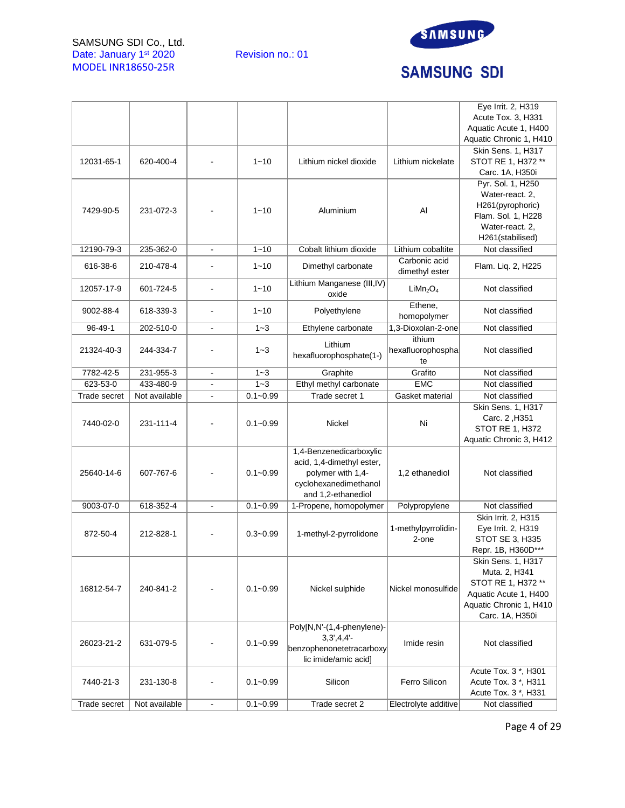SAMSUNG SDI Co., Ltd. Date: January 1<sup>st</sup> 2020 Revision no.: 01 MODEL INR18650-25R



# **SAMSUNG SDI**

|              |               |                              |              |                             |                                  | Eye Irrit. 2, H319      |  |
|--------------|---------------|------------------------------|--------------|-----------------------------|----------------------------------|-------------------------|--|
|              |               |                              |              |                             |                                  | Acute Tox. 3, H331      |  |
|              |               |                              |              |                             |                                  | Aquatic Acute 1, H400   |  |
|              |               |                              |              |                             |                                  | Aquatic Chronic 1, H410 |  |
|              |               |                              |              |                             |                                  | Skin Sens. 1, H317      |  |
| 12031-65-1   | 620-400-4     |                              | $1 - 10$     | Lithium nickel dioxide      | Lithium nickelate                | STOT RE 1, H372 **      |  |
|              |               |                              |              |                             |                                  | Carc. 1A, H350i         |  |
|              |               |                              |              |                             |                                  | Pyr. Sol. 1, H250       |  |
|              |               |                              |              |                             |                                  | Water-react. 2,         |  |
|              |               |                              |              |                             |                                  | H261(pyrophoric)        |  |
| 7429-90-5    | 231-072-3     |                              | $1 - 10$     | Aluminium                   | Al                               | Flam. Sol. 1, H228      |  |
|              |               |                              |              |                             |                                  | Water-react. 2.         |  |
|              |               |                              |              |                             |                                  | H261(stabilised)        |  |
| 12190-79-3   | 235-362-0     | $\frac{1}{2}$                | $1 - 10$     | Cobalt lithium dioxide      | Lithium cobaltite                | Not classified          |  |
|              |               |                              |              |                             | Carbonic acid                    |                         |  |
| 616-38-6     | 210-478-4     |                              | $1 - 10$     | Dimethyl carbonate          | dimethyl ester                   | Flam. Liq. 2, H225      |  |
|              |               |                              |              | Lithium Manganese (III, IV) |                                  |                         |  |
| 12057-17-9   | 601-724-5     | $\blacksquare$               | $1 - 10$     | oxide                       | LiMn <sub>2</sub> O <sub>4</sub> | Not classified          |  |
|              |               |                              |              |                             | Ethene,                          |                         |  |
| 9002-88-4    | 618-339-3     |                              | $1 - 10$     | Polyethylene                | homopolymer                      | Not classified          |  |
| 96-49-1      | 202-510-0     |                              | $1 - 3$      | Ethylene carbonate          | 1,3-Dioxolan-2-one               | Not classified          |  |
|              |               |                              |              |                             | ithium                           |                         |  |
| 21324-40-3   | 244-334-7     |                              | $1 - 3$      | Lithium                     | hexafluorophospha                | Not classified          |  |
|              |               |                              |              | hexafluorophosphate(1-)     | te                               |                         |  |
| 7782-42-5    | 231-955-3     |                              | $1 - 3$      | Graphite                    | Grafito                          | Not classified          |  |
| 623-53-0     | 433-480-9     | $\qquad \qquad \blacksquare$ | $1 - 3$      |                             | <b>EMC</b>                       | Not classified          |  |
|              |               |                              |              | Ethyl methyl carbonate      |                                  |                         |  |
| Trade secret | Not available |                              | $0.1 - 0.99$ | Trade secret 1              | Gasket material                  | Not classified          |  |
|              |               |                              |              |                             |                                  | Skin Sens. 1, H317      |  |
| 7440-02-0    | 231-111-4     |                              | $0.1 - 0.99$ | Nickel                      | Ni                               | Carc. 2, H351           |  |
|              |               |                              |              |                             |                                  | <b>STOT RE 1, H372</b>  |  |
|              |               |                              |              |                             |                                  | Aquatic Chronic 3, H412 |  |
|              |               |                              |              | 1,4-Benzenedicarboxylic     |                                  |                         |  |
|              |               |                              |              | acid, 1,4-dimethyl ester,   |                                  |                         |  |
| 25640-14-6   | 607-767-6     |                              | $0.1 - 0.99$ | polymer with 1,4-           | 1,2 ethanediol                   | Not classified          |  |
|              |               |                              |              | cyclohexanedimethanol       |                                  |                         |  |
|              |               |                              |              | and 1,2-ethanediol          |                                  |                         |  |
| 9003-07-0    | 618-352-4     | ä,                           | $0.1 - 0.99$ | 1-Propene, homopolymer      | Polypropylene                    | Not classified          |  |
|              |               |                              |              |                             |                                  | Skin Irrit. 2, H315     |  |
| 872-50-4     | 212-828-1     |                              | $0.3 - 0.99$ | 1-methyl-2-pyrrolidone      | 1-methylpyrrolidin-              | Eye Irrit. 2, H319      |  |
|              |               |                              |              |                             | 2-one                            | STOT SE 3, H335         |  |
|              |               |                              |              |                             |                                  | Repr. 1B, H360D***      |  |
|              |               |                              |              |                             |                                  | Skin Sens. 1, H317      |  |
|              |               |                              |              |                             |                                  | Muta. 2, H341           |  |
| 16812-54-7   | 240-841-2     |                              | $0.1 - 0.99$ | Nickel sulphide             | Nickel monosulfide               | STOT RE 1, H372 **      |  |
|              |               |                              |              |                             |                                  | Aquatic Acute 1, H400   |  |
|              |               |                              |              |                             |                                  | Aquatic Chronic 1, H410 |  |
|              |               |                              |              |                             |                                  | Carc. 1A, H350i         |  |
|              |               |                              |              | Poly[N,N'-(1,4-phenylene)-  |                                  |                         |  |
| 26023-21-2   | 631-079-5     |                              | $0.1 - 0.99$ | $3,3',4,4'-$                | Imide resin                      | Not classified          |  |
|              |               |                              |              | benzophenonetetracarboxy    |                                  |                         |  |
|              |               |                              |              | lic imide/amic acid]        |                                  |                         |  |
|              |               |                              |              |                             |                                  | Acute Tox. 3 *, H301    |  |
| 7440-21-3    | 231-130-8     |                              | $0.1 - 0.99$ | Silicon                     | Ferro Silicon                    | Acute Tox. 3 *, H311    |  |
|              |               |                              |              |                             |                                  | Acute Tox. 3 *, H331    |  |
| Trade secret | Not available | $\blacksquare$               | $0.1 - 0.99$ | Trade secret 2              | Electrolyte additive             | Not classified          |  |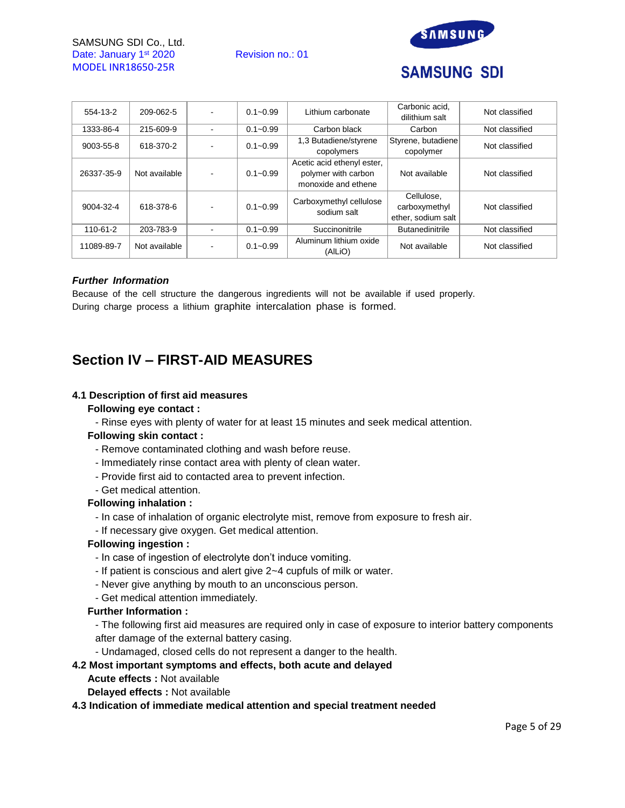SAMSUNG SDI Co., Ltd. Date: January 1<sup>st</sup> 2020 Revision no.: 01 MODEL INR18650-25R



# **SAMSUNG SDI**

| 554-13-2   | 209-062-5     | $0.1 - 0.99$ | Lithium carbonate                                                        | Carbonic acid.<br>dilithium salt                  | Not classified |
|------------|---------------|--------------|--------------------------------------------------------------------------|---------------------------------------------------|----------------|
| 1333-86-4  | 215-609-9     | $0.1 - 0.99$ | Carbon black                                                             | Carbon                                            | Not classified |
| 9003-55-8  | 618-370-2     | $0.1 - 0.99$ | 1,3 Butadiene/styrene<br>copolymers                                      | Styrene, butadiene<br>copolymer                   | Not classified |
| 26337-35-9 | Not available | $0.1 - 0.99$ | Acetic acid ethenyl ester,<br>polymer with carbon<br>monoxide and ethene | Not available                                     | Not classified |
| 9004-32-4  | 618-378-6     | $0.1 - 0.99$ | Carboxymethyl cellulose<br>sodium salt                                   | Cellulose,<br>carboxymethyl<br>ether, sodium salt | Not classified |
| 110-61-2   | 203-783-9     | $0.1 - 0.99$ | Succinonitrile                                                           | <b>Butanedinitrile</b>                            | Not classified |
| 11089-89-7 | Not available | $0.1 - 0.99$ | Aluminum lithium oxide<br>(AILIO)                                        | Not available                                     | Not classified |

#### *Further Information*

Because of the cell structure the dangerous ingredients will not be available if used properly. During charge process a lithium graphite intercalation phase is formed.

# **Section IV – FIRST-AID MEASURES**

#### **4.1 Description of first aid measures**

#### **Following eye contact :**

- Rinse eyes with plenty of water for at least 15 minutes and seek medical attention.

# **Following skin contact :**

- Remove contaminated clothing and wash before reuse.
- Immediately rinse contact area with plenty of clean water.
- Provide first aid to contacted area to prevent infection.
- Get medical attention.

#### **Following inhalation :**

- In case of inhalation of organic electrolyte mist, remove from exposure to fresh air.
- If necessary give oxygen. Get medical attention.

# **Following ingestion :**

- In case of ingestion of electrolyte don't induce vomiting.
- If patient is conscious and alert give 2~4 cupfuls of milk or water.
- Never give anything by mouth to an unconscious person.
- Get medical attention immediately.

#### **Further Information :**

- The following first aid measures are required only in case of exposure to interior battery components after damage of the external battery casing.

- Undamaged, closed cells do not represent a danger to the health.

# **4.2 Most important symptoms and effects, both acute and delayed**

- **Acute effects :** Not available
- **Delayed effects :** Not available

#### **4.3 Indication of immediate medical attention and special treatment needed**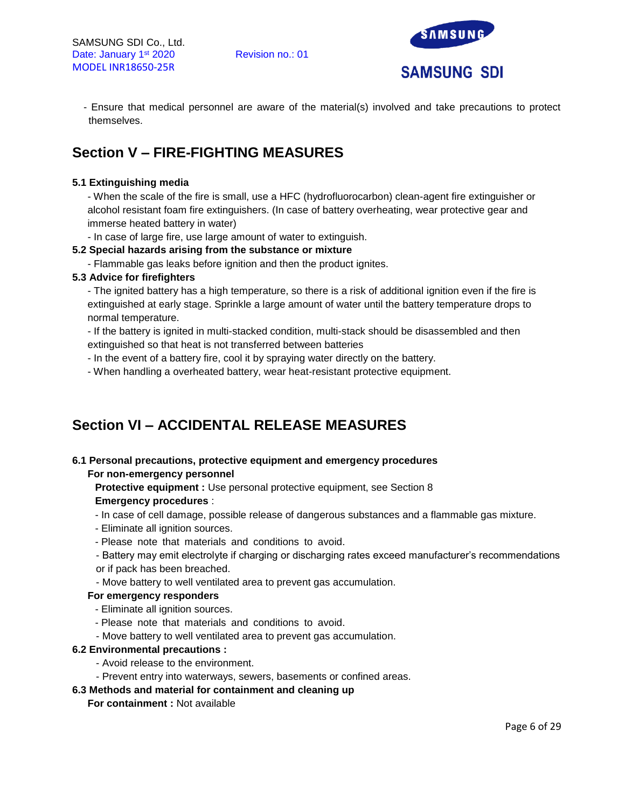

- Ensure that medical personnel are aware of the material(s) involved and take precautions to protect themselves.

# **Section V – FIRE-FIGHTING MEASURES**

# **5.1 Extinguishing media**

- When the scale of the fire is small, use a HFC (hydrofluorocarbon) clean-agent fire extinguisher or alcohol resistant foam fire extinguishers. (In case of battery overheating, wear protective gear and immerse heated battery in water)

- In case of large fire, use large amount of water to extinguish.

#### **5.2 Special hazards arising from the substance or mixture**

- Flammable gas leaks before ignition and then the product ignites.

#### **5.3 Advice for firefighters**

- The ignited battery has a high temperature, so there is a risk of additional ignition even if the fire is extinguished at early stage. Sprinkle a large amount of water until the battery temperature drops to normal temperature.

- If the battery is ignited in multi-stacked condition, multi-stack should be disassembled and then extinguished so that heat is not transferred between batteries

- In the event of a battery fire, cool it by spraying water directly on the battery.
- When handling a overheated battery, wear heat-resistant protective equipment.

# **Section VI – ACCIDENTAL RELEASE MEASURES**

# **6.1 Personal precautions, protective equipment and emergency procedures**

# **For non-emergency personnel**

**Protective equipment :** Use personal protective equipment, see Section 8 **Emergency procedures** :

- In case of cell damage, possible release of dangerous substances and a flammable gas mixture.
- Eliminate all ignition sources.
- Please note that materials and conditions to avoid.
- Battery may emit electrolyte if charging or discharging rates exceed manufacturer's recommendations or if pack has been breached.
- Move battery to well ventilated area to prevent gas accumulation.

# **For emergency responders**

- Eliminate all ignition sources.
- Please note that materials and conditions to avoid.
- Move battery to well ventilated area to prevent gas accumulation.

#### **6.2 Environmental precautions :**

- Avoid release to the environment.
- Prevent entry into waterways, sewers, basements or confined areas.

# **6.3 Methods and material for containment and cleaning up**

#### **For containment :** Not available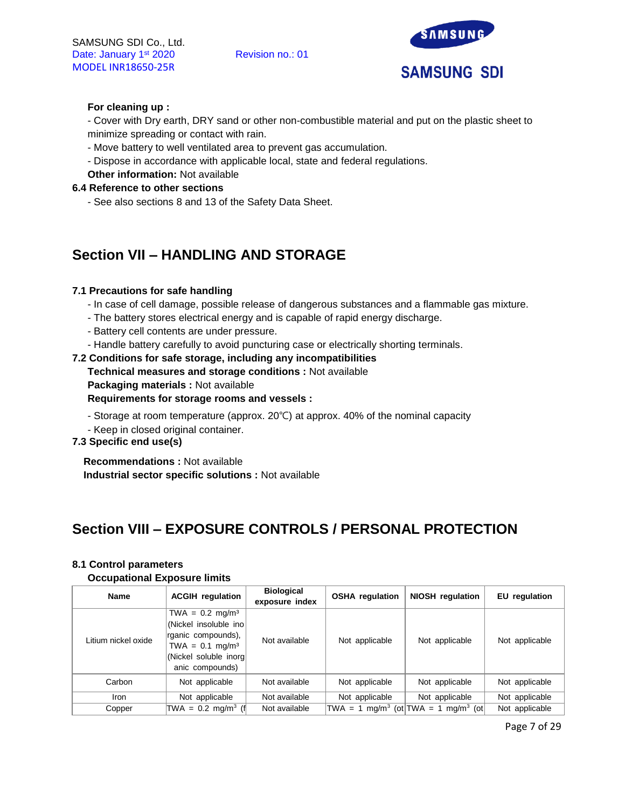

### **For cleaning up :**

- Cover with Dry earth, DRY sand or other non-combustible material and put on the plastic sheet to minimize spreading or contact with rain.

- Move battery to well ventilated area to prevent gas accumulation.
- Dispose in accordance with applicable local, state and federal regulations.
- **Other information:** Not available

#### **6.4 Reference to other sections**

- See also sections 8 and 13 of the Safety Data Sheet.

# **Section VII – HANDLING AND STORAGE**

#### **7.1 Precautions for safe handling**

- In case of cell damage, possible release of dangerous substances and a flammable gas mixture.
- The battery stores electrical energy and is capable of rapid energy discharge.
- Battery cell contents are under pressure.
- Handle battery carefully to avoid puncturing case or electrically shorting terminals.

#### **7.2 Conditions for safe storage, including any incompatibilities**

- **Technical measures and storage conditions :** Not available
- **Packaging materials :** Not available

### **Requirements for storage rooms and vessels :**

- Storage at room temperature (approx. 20℃) at approx. 40% of the nominal capacity
- Keep in closed original container.

# **7.3 Specific end use(s)**

**Recommendations :** Not available **Industrial sector specific solutions :** Not available

# **Section VIII – EXPOSURE CONTROLS / PERSONAL PROTECTION**

#### **8.1 Control parameters**

#### **Occupational Exposure limits**

| <b>Name</b>         | <b>ACGIH</b> regulation                                                                                                                        |               | <b>OSHA</b> regulation | <b>NIOSH</b> regulation                                     | EU regulation  |
|---------------------|------------------------------------------------------------------------------------------------------------------------------------------------|---------------|------------------------|-------------------------------------------------------------|----------------|
| Litium nickel oxide | $TWA = 0.2$ mg/m <sup>3</sup><br>(Nickel insoluble ino<br>rganic compounds),<br>$TWA = 0.1 mg/m3$<br>(Nickel soluble inorg)<br>anic compounds) | Not available | Not applicable         | Not applicable                                              | Not applicable |
| Carbon              | Not applicable                                                                                                                                 | Not available | Not applicable         | Not applicable                                              | Not applicable |
| <b>Iron</b>         | Not applicable                                                                                                                                 | Not available | Not applicable         | Not applicable                                              | Not applicable |
| Copper              | TWA = $0.2 \text{ mg/m}^3$ (f                                                                                                                  | Not available |                        | TWA = 1 mg/m <sup>3</sup> (ot TWA = 1 mg/m <sup>3</sup> (ot | Not applicable |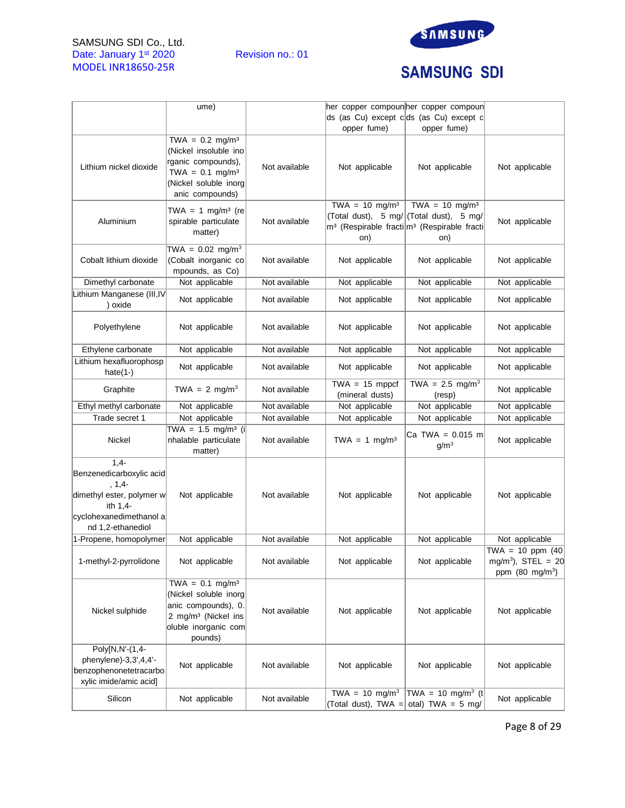# SAMSUNG SDI Co., Ltd. Date: January 1<sup>st</sup> 2020 Revision no.: 01 MODEL INR18650-25R



# **SAMSUNG SDI**

|                                                                                                                                          | ume)                                                                                                                                                |               | her copper compoun her copper compoun<br>opper fume) | ds (as Cu) except c ds (as Cu) except c<br>opper fume)                                                                                             |                                                                                    |
|------------------------------------------------------------------------------------------------------------------------------------------|-----------------------------------------------------------------------------------------------------------------------------------------------------|---------------|------------------------------------------------------|----------------------------------------------------------------------------------------------------------------------------------------------------|------------------------------------------------------------------------------------|
| Lithium nickel dioxide                                                                                                                   | TWA = $0.2 \text{ mg/m}^3$<br>(Nickel insoluble ino<br>rganic compounds),<br>TWA = $0.1 \text{ mg/m}^3$<br>(Nickel soluble inorg<br>anic compounds) | Not available | Not applicable                                       | Not applicable                                                                                                                                     | Not applicable                                                                     |
| Aluminium                                                                                                                                | TWA = 1 mg/m <sup>3</sup> (re<br>spirable particulate<br>matter)                                                                                    | Not available | TWA = $10 \text{ mg/m}^3$<br>on)                     | TWA = $10 \text{ mg/m}^3$<br>(Total dust), 5 mg/ (Total dust), 5 mg/<br>m <sup>3</sup> (Respirable fracti m <sup>3</sup> (Respirable fracti<br>on) | Not applicable                                                                     |
| Cobalt lithium dioxide                                                                                                                   | TWA = $0.02 \text{ mg/m}^3$<br>(Cobalt inorganic co<br>mpounds, as Co)                                                                              | Not available | Not applicable                                       | Not applicable                                                                                                                                     | Not applicable                                                                     |
| Dimethyl carbonate                                                                                                                       | Not applicable                                                                                                                                      | Not available | Not applicable                                       | Not applicable                                                                                                                                     | Not applicable                                                                     |
| Lithium Manganese (III, IV<br>) oxide                                                                                                    | Not applicable                                                                                                                                      | Not available | Not applicable                                       | Not applicable                                                                                                                                     | Not applicable                                                                     |
| Polyethylene                                                                                                                             | Not applicable                                                                                                                                      | Not available | Not applicable                                       | Not applicable                                                                                                                                     | Not applicable                                                                     |
| Ethylene carbonate                                                                                                                       | Not applicable                                                                                                                                      | Not available | Not applicable                                       | Not applicable                                                                                                                                     | Not applicable                                                                     |
| Lithium hexafluorophosp<br>hate $(1-)$                                                                                                   | Not applicable                                                                                                                                      | Not available | Not applicable                                       | Not applicable                                                                                                                                     | Not applicable                                                                     |
| Graphite                                                                                                                                 | TWA = 2 mg/m <sup>3</sup>                                                                                                                           | Not available | $TWA = 15$ mppcf<br>(mineral dusts)                  | TWA = $2.5 \text{ mg/m}^3$<br>(resp)                                                                                                               | Not applicable                                                                     |
| Ethyl methyl carbonate                                                                                                                   | Not applicable                                                                                                                                      | Not available | Not applicable                                       | Not applicable                                                                                                                                     | Not applicable                                                                     |
| Trade secret 1                                                                                                                           | Not applicable                                                                                                                                      | Not available | Not applicable                                       | Not applicable                                                                                                                                     | Not applicable                                                                     |
| Nickel                                                                                                                                   | TWA = $1.5 \text{ mg/m}^3$ (i)<br>nhalable particulate<br>matter)                                                                                   | Not available | TWA = $1 \text{ mg/m}^3$                             | Ca TWA = $0.015$ m<br>g/m <sup>3</sup>                                                                                                             | Not applicable                                                                     |
| $1,4-$<br>Benzenedicarboxylic acid<br>$, 1, 4-$<br>dimethyl ester, polymer w<br>ith 1,4-<br>cyclohexanedimethanol a<br>nd 1,2-ethanediol | Not applicable                                                                                                                                      | Not available | Not applicable                                       | Not applicable                                                                                                                                     | Not applicable                                                                     |
| 1-Propene, homopolymer                                                                                                                   | Not applicable                                                                                                                                      | Not available | Not applicable                                       | Not applicable                                                                                                                                     | Not applicable                                                                     |
| 1-methyl-2-pyrrolidone                                                                                                                   | Not applicable                                                                                                                                      | Not available | Not applicable                                       | Not applicable                                                                                                                                     | TWA = 10 ppm $(40)$<br>mg/m <sup>3</sup> ), STEL = 20<br>ppm $(80 \text{ mg/m}^3)$ |
| Nickel sulphide                                                                                                                          | $TWA = 0.1 mg/m3$<br>(Nickel soluble inorg<br>anic compounds), 0.<br>2 mg/m <sup>3</sup> (Nickel ins<br>oluble inorganic com<br>pounds)             | Not available | Not applicable                                       | Not applicable                                                                                                                                     | Not applicable                                                                     |
| Poly[N,N'-(1,4-<br>phenylene)-3,3',4,4'-<br>benzophenonetetracarbo<br>xylic imide/amic acid]                                             | Not applicable                                                                                                                                      | Not available | Not applicable                                       | Not applicable                                                                                                                                     | Not applicable                                                                     |
| Silicon                                                                                                                                  | Not applicable                                                                                                                                      | Not available | TWA = $10 \text{ mg/m}^3$                            | TWA = 10 mg/m <sup>3</sup> (t)<br>(Total dust), TWA = otal) TWA = 5 mg/                                                                            | Not applicable                                                                     |

Page 8 of 29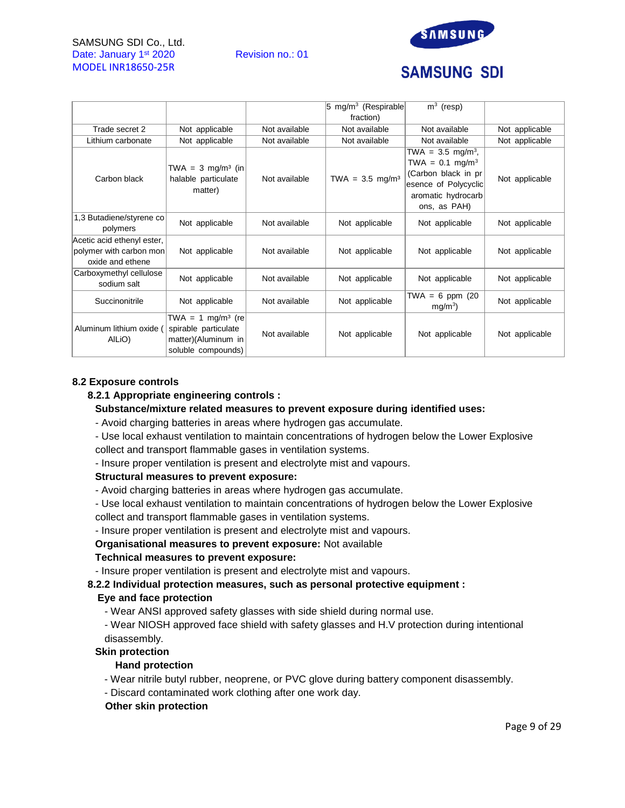### SAMSUNG SDI Co., Ltd. Date: January 1<sup>st</sup> 2020 Revision no.: 01 MODEL INR18650-25R



# **SAMSUNG SDI**

|                                                                           |                                                                                                    |               | $ 5 \text{ mg/m}^3$ (Respirable) | $\overline{m}^3$ (resp)                                                                                                                           |                |
|---------------------------------------------------------------------------|----------------------------------------------------------------------------------------------------|---------------|----------------------------------|---------------------------------------------------------------------------------------------------------------------------------------------------|----------------|
|                                                                           |                                                                                                    |               | fraction)                        |                                                                                                                                                   |                |
| Trade secret 2                                                            | Not applicable                                                                                     | Not available | Not available                    | Not available                                                                                                                                     | Not applicable |
| Lithium carbonate                                                         | Not applicable                                                                                     | Not available | Not available                    | Not available                                                                                                                                     | Not applicable |
| Carbon black                                                              | TWA = $3 \text{ mg/m}^3$ (in<br>halable particulate<br>matter)                                     | Not available | TWA = $3.5 \text{ mg/m}^3$       | TWA = $3.5 \, \text{mg/m}^3$ ,<br>TWA = $0.1 \text{ mg/m}^3$<br>(Carbon black in pr<br>esence of Polycyclic<br>aromatic hydrocarb<br>ons, as PAH) | Not applicable |
| 1,3 Butadiene/styrene co<br>polymers                                      | Not applicable                                                                                     | Not available | Not applicable                   | Not applicable                                                                                                                                    | Not applicable |
| Acetic acid ethenyl ester,<br>polymer with carbon mon<br>oxide and ethene | Not applicable                                                                                     | Not available | Not applicable                   | Not applicable                                                                                                                                    | Not applicable |
| Carboxymethyl cellulose<br>sodium salt                                    | Not applicable                                                                                     | Not available | Not applicable                   | Not applicable                                                                                                                                    | Not applicable |
| Succinonitrile                                                            | Not applicable                                                                                     | Not available | Not applicable                   | TWA = 6 ppm $(20$<br>mq/m <sup>3</sup>                                                                                                            | Not applicable |
| Aluminum lithium oxide (<br>AILIO)                                        | TWA = 1 mg/m <sup>3</sup> (re<br>spirable particulate<br>matter)(Aluminum in<br>soluble compounds) | Not available | Not applicable                   | Not applicable                                                                                                                                    | Not applicable |

#### **8.2 Exposure controls**

#### **8.2.1 Appropriate engineering controls :**

#### **Substance/mixture related measures to prevent exposure during identified uses:**

- Avoid charging batteries in areas where hydrogen gas accumulate.

- Use local exhaust ventilation to maintain concentrations of hydrogen below the Lower Explosive collect and transport flammable gases in ventilation systems.

- Insure proper ventilation is present and electrolyte mist and vapours.

#### **Structural measures to prevent exposure:**

- Avoid charging batteries in areas where hydrogen gas accumulate.
- Use local exhaust ventilation to maintain concentrations of hydrogen below the Lower Explosive collect and transport flammable gases in ventilation systems.
- Insure proper ventilation is present and electrolyte mist and vapours.

**Organisational measures to prevent exposure:** Not available

#### **Technical measures to prevent exposure:**

- Insure proper ventilation is present and electrolyte mist and vapours.

# **8.2.2 Individual protection measures, such as personal protective equipment :**

# **Eye and face protection**

- Wear ANSI approved safety glasses with side shield during normal use.

- Wear NIOSH approved face shield with safety glasses and H.V protection during intentional disassembly.

#### **Skin protection**

#### **Hand protection**

- Wear nitrile butyl rubber, neoprene, or PVC glove during battery component disassembly.
- Discard contaminated work clothing after one work day.

#### **Other skin protection**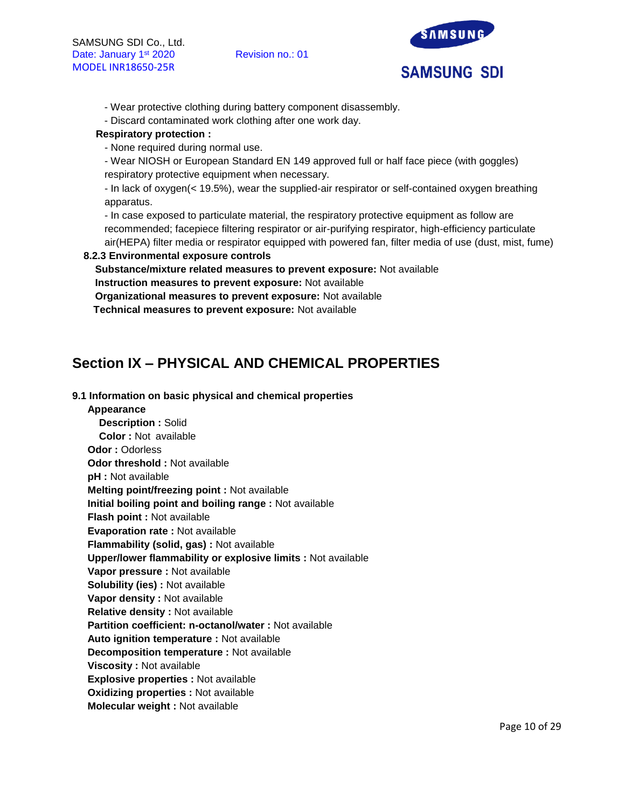

- Wear protective clothing during battery component disassembly.
- Discard contaminated work clothing after one work day.

# **Respiratory protection :**

- None required during normal use.

- Wear NIOSH or European Standard EN 149 approved full or half face piece (with goggles) respiratory protective equipment when necessary.

- In lack of oxygen(< 19.5%), wear the supplied-air respirator or self-contained oxygen breathing apparatus.

- In case exposed to particulate material, the respiratory protective equipment as follow are recommended; facepiece filtering respirator or air-purifying respirator, high-efficiency particulate air(HEPA) filter media or respirator equipped with powered fan, filter media of use (dust, mist, fume)

# **8.2.3 Environmental exposure controls**

**Substance/mixture related measures to prevent exposure:** Not available **Instruction measures to prevent exposure:** Not available

**Organizational measures to prevent exposure:** Not available

**Technical measures to prevent exposure:** Not available

# **Section IX – PHYSICAL AND CHEMICAL PROPERTIES**

# **9.1 Information on basic physical and chemical properties**

**Appearance Description :** Solid **Color :** Not available **Odor :** Odorless **Odor threshold :** Not available **pH :** Not available **Melting point/freezing point :** Not available **Initial boiling point and boiling range :** Not available **Flash point :** Not available **Evaporation rate :** Not available **Flammability (solid, gas) :** Not available **Upper/lower flammability or explosive limits :** Not available **Vapor pressure :** Not available **Solubility (ies) :** Not available **Vapor density :** Not available **Relative density :** Not available **Partition coefficient: n-octanol/water :** Not available **Auto ignition temperature :** Not available **Decomposition temperature :** Not available **Viscosity :** Not available **Explosive properties :** Not available **Oxidizing properties :** Not available **Molecular weight :** Not available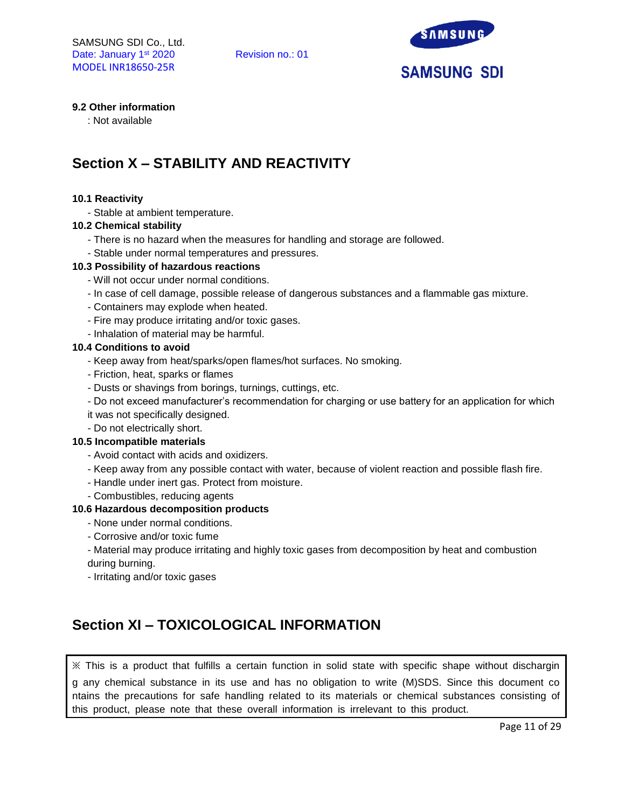

# **9.2 Other information**

: Not available

# **Section X – STABILITY AND REACTIVITY**

#### **10.1 Reactivity**

- Stable at ambient temperature.

#### **10.2 Chemical stability**

- There is no hazard when the measures for handling and storage are followed.
- Stable under normal temperatures and pressures.

#### **10.3 Possibility of hazardous reactions**

- Will not occur under normal conditions.
- In case of cell damage, possible release of dangerous substances and a flammable gas mixture.
- Containers may explode when heated.
- Fire may produce irritating and/or toxic gases.
- Inhalation of material may be harmful.

#### **10.4 Conditions to avoid**

- Keep away from heat/sparks/open flames/hot surfaces. No smoking.
- Friction, heat, sparks or flames
- Dusts or shavings from borings, turnings, cuttings, etc.
- Do not exceed manufacturer's recommendation for charging or use battery for an application for which
- it was not specifically designed.
- Do not electrically short.

#### **10.5 Incompatible materials**

- Avoid contact with acids and oxidizers.
- Keep away from any possible contact with water, because of violent reaction and possible flash fire.
- Handle under inert gas. Protect from moisture.
- Combustibles, reducing agents

#### **10.6 Hazardous decomposition products**

- None under normal conditions.
- Corrosive and/or toxic fume

- Material may produce irritating and highly toxic gases from decomposition by heat and combustion during burning.

- Irritating and/or toxic gases

# **Section XI – TOXICOLOGICAL INFORMATION**

※ This is a product that fulfills a certain function in solid state with specific shape without dischargin g any chemical substance in its use and has no obligation to write (M)SDS. Since this document co ntains the precautions for safe handling related to its materials or chemical substances consisting of this product, please note that these overall information is irrelevant to this product.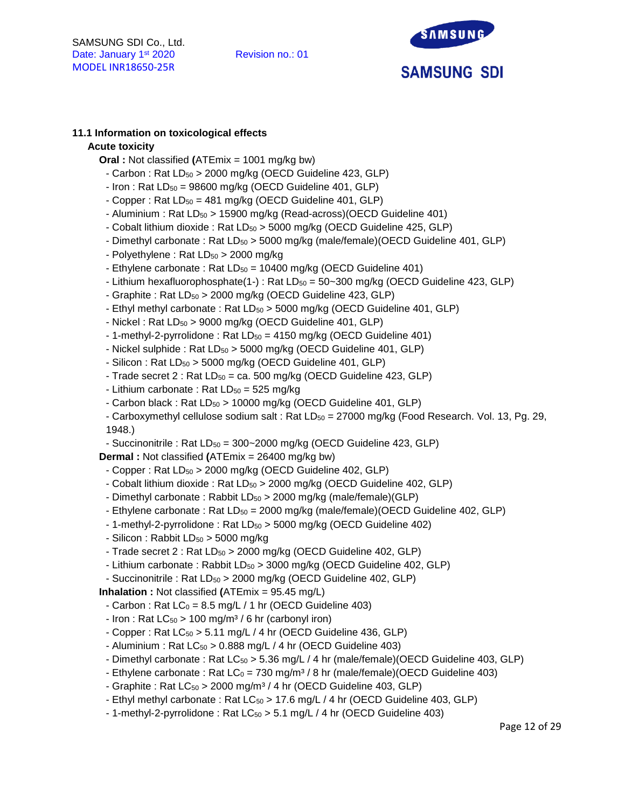

# **11.1 Information on toxicological effects**

### **Acute toxicity**

- **Oral :** Not classified **(**ATEmix = 1001 mg/kg bw)
	- Carbon : Rat LD<sub>50</sub> > 2000 mg/kg (OECD Guideline 423, GLP)
- $-$  Iron : Rat  $LD_{50} = 98600$  mg/kg (OECD Guideline 401, GLP)
- Copper : Rat  $LD_{50} = 481$  mg/kg (OECD Guideline 401, GLP)
- Aluminium : Rat LD<sub>50</sub> > 15900 mg/kg (Read-across)(OECD Guideline 401)
- Cobalt lithium dioxide : Rat LD<sub>50</sub> > 5000 mg/kg (OECD Guideline 425, GLP)
- Dimethyl carbonate : Rat LD<sub>50</sub> > 5000 mg/kg (male/female)(OECD Guideline 401, GLP)
- Polyethylene: Rat  $LD_{50} > 2000$  mg/kg
- Ethylene carbonate : Rat  $LD_{50} = 10400$  mg/kg (OECD Guideline 401)
- Lithium hexafluorophosphate(1-) : Rat  $LD_{50} = 50 300$  mg/kg (OECD Guideline 423, GLP)
- Graphite : Rat LD<sub>50</sub> > 2000 mg/kg (OECD Guideline 423, GLP)
- Ethyl methyl carbonate : Rat LD<sub>50</sub> > 5000 mg/kg (OECD Guideline 401, GLP)
- $-$  Nickel : Rat LD $_{50}$  > 9000 mg/kg (OECD Guideline 401, GLP)
- 1-methyl-2-pyrrolidone : Rat LD<sub>50</sub> = 4150 mg/kg (OECD Guideline 401)
- Nickel sulphide : Rat  $LD_{50} > 5000$  mg/kg (OECD Guideline 401, GLP)
- $-$  Silicon : Rat LD $_{50}$  > 5000 mg/kg (OECD Guideline 401, GLP)
- Trade secret  $2:$  Rat  $LD_{50} =$  ca. 500 mg/kg (OECD Guideline 423, GLP)
- Lithium carbonate : Rat  $LD_{50} = 525$  mg/kg
- Carbon black : Rat  $LD_{50}$  > 10000 mg/kg (OECD Guideline 401, GLP)
- Carboxymethyl cellulose sodium salt : Rat  $LD_{50} = 27000$  mg/kg (Food Research. Vol. 13, Pg. 29, 1948.)
- Succinonitrile : Rat  $LD_{50} = 300 2000$  mg/kg (OECD Guideline 423, GLP)

**Dermal :** Not classified **(**ATEmix = 26400 mg/kg bw)

- Copper : Rat LD<sub>50</sub> > 2000 mg/kg (OECD Guideline 402, GLP)
- Cobalt lithium dioxide : Rat LD<sub>50</sub> > 2000 mg/kg (OECD Guideline 402, GLP)
- Dimethyl carbonate: Rabbit  $LD_{50} > 2000$  mg/kg (male/female)(GLP)
- Ethylene carbonate : Rat LD<sub>50</sub> = 2000 mg/kg (male/female)(OECD Guideline 402, GLP)
- 1-methyl-2-pyrrolidone: Rat  $LD_{50}$  > 5000 mg/kg (OECD Guideline 402)
- Silicon : Rabbit  $LD_{50} > 5000$  mg/kg
- Trade secret  $2:$  Rat  $LD_{50} > 2000$  mg/kg (OECD Guideline 402, GLP)
- Lithium carbonate : Rabbit LD<sub>50</sub> > 3000 mg/kg (OECD Guideline 402, GLP)
- Succinonitrile : Rat LD<sub>50</sub> > 2000 mg/kg (OECD Guideline 402, GLP)

**Inhalation :** Not classified **(**ATEmix = 95.45 mg/L)

- $-$  Carbon : Rat LC<sub>0</sub> = 8.5 mg/L / 1 hr (OECD Guideline 403)
- Iron : Rat  $LC_{50}$  > 100 mg/m<sup>3</sup> / 6 hr (carbonyl iron)
- Copper : Rat  $LC_{50}$  > 5.11 mg/L / 4 hr (OECD Guideline 436, GLP)
- Aluminium : Rat  $LC_{50}$  > 0.888 mg/L / 4 hr (OECD Guideline 403)
- Dimethyl carbonate : Rat LC<sub>50</sub> > 5.36 mg/L / 4 hr (male/female)(OECD Guideline 403, GLP)
- Ethylene carbonate : Rat  $LC_0 = 730$  mg/m<sup>3</sup> / 8 hr (male/female)(OECD Guideline 403)
- Graphite : Rat  $LC_{50} > 2000$  mg/m<sup>3</sup> / 4 hr (OECD Guideline 403, GLP)
- Ethyl methyl carbonate : Rat LC<sub>50</sub> > 17.6 mg/L / 4 hr (OECD Guideline 403, GLP)
- 1-methyl-2-pyrrolidone: Rat  $LC_{50} > 5.1$  mg/L / 4 hr (OECD Guideline 403)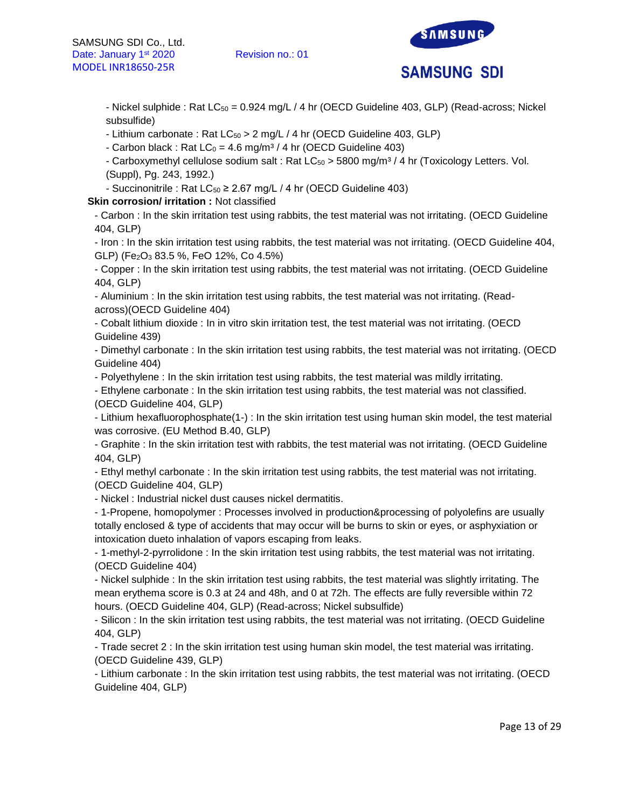

- Nickel sulphide : Rat  $LC_{50} = 0.924$  mg/L / 4 hr (OECD Guideline 403, GLP) (Read-across; Nickel subsulfide)

- Lithium carbonate : Rat  $LC_{50} > 2$  mg/L / 4 hr (OECD Guideline 403, GLP)

- Carbon black : Rat  $LC_0 = 4.6$  mg/m<sup>3</sup> / 4 hr (OECD Guideline 403)

- Carboxymethyl cellulose sodium salt : Rat  $LC_{50} > 5800$  mg/m<sup>3</sup> / 4 hr (Toxicology Letters. Vol. (Suppl), Pg. 243, 1992.)

- Succinonitrile : Rat  $LC_{50} \geq 2.67$  mg/L / 4 hr (OECD Guideline 403)

**Skin corrosion/ irritation :** Not classified

- Carbon : In the skin irritation test using rabbits, the test material was not irritating. (OECD Guideline 404, GLP)

- Iron : In the skin irritation test using rabbits, the test material was not irritating. (OECD Guideline 404, GLP) (Fe2O<sup>3</sup> 83.5 %, FeO 12%, Co 4.5%)

- Copper : In the skin irritation test using rabbits, the test material was not irritating. (OECD Guideline 404, GLP)

- Aluminium : In the skin irritation test using rabbits, the test material was not irritating. (Readacross)(OECD Guideline 404)

- Cobalt lithium dioxide : In in vitro skin irritation test, the test material was not irritating. (OECD Guideline 439)

- Dimethyl carbonate : In the skin irritation test using rabbits, the test material was not irritating. (OECD Guideline 404)

- Polyethylene : In the skin irritation test using rabbits, the test material was mildly irritating.

- Ethylene carbonate : In the skin irritation test using rabbits, the test material was not classified. (OECD Guideline 404, GLP)

- Lithium hexafluorophosphate(1-) : In the skin irritation test using human skin model, the test material was corrosive. (EU Method B.40, GLP)

- Graphite : In the skin irritation test with rabbits, the test material was not irritating. (OECD Guideline 404, GLP)

- Ethyl methyl carbonate : In the skin irritation test using rabbits, the test material was not irritating. (OECD Guideline 404, GLP)

- Nickel : Industrial nickel dust causes nickel dermatitis.

- 1-Propene, homopolymer : Processes involved in production&processing of polyolefins are usually totally enclosed & type of accidents that may occur will be burns to skin or eyes, or asphyxiation or intoxication dueto inhalation of vapors escaping from leaks.

- 1-methyl-2-pyrrolidone : In the skin irritation test using rabbits, the test material was not irritating. (OECD Guideline 404)

- Nickel sulphide : In the skin irritation test using rabbits, the test material was slightly irritating. The mean erythema score is 0.3 at 24 and 48h, and 0 at 72h. The effects are fully reversible within 72 hours. (OECD Guideline 404, GLP) (Read-across; Nickel subsulfide)

- Silicon : In the skin irritation test using rabbits, the test material was not irritating. (OECD Guideline 404, GLP)

- Trade secret 2 : In the skin irritation test using human skin model, the test material was irritating. (OECD Guideline 439, GLP)

- Lithium carbonate : In the skin irritation test using rabbits, the test material was not irritating. (OECD Guideline 404, GLP)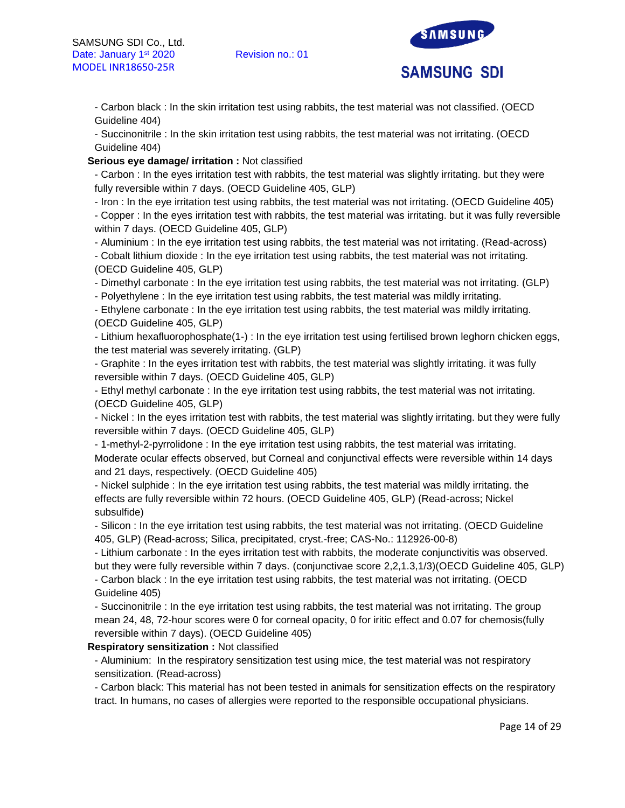

- Carbon black : In the skin irritation test using rabbits, the test material was not classified. (OECD Guideline 404)

- Succinonitrile : In the skin irritation test using rabbits, the test material was not irritating. (OECD Guideline 404)

#### **Serious eye damage/ irritation :** Not classified

- Carbon : In the eyes irritation test with rabbits, the test material was slightly irritating. but they were fully reversible within 7 days. (OECD Guideline 405, GLP)

- Iron : In the eye irritation test using rabbits, the test material was not irritating. (OECD Guideline 405)

- Copper : In the eyes irritation test with rabbits, the test material was irritating. but it was fully reversible within 7 days. (OECD Guideline 405, GLP)

- Aluminium : In the eye irritation test using rabbits, the test material was not irritating. (Read-across)

- Cobalt lithium dioxide : In the eye irritation test using rabbits, the test material was not irritating. (OECD Guideline 405, GLP)

- Dimethyl carbonate : In the eye irritation test using rabbits, the test material was not irritating. (GLP)

- Polyethylene : In the eye irritation test using rabbits, the test material was mildly irritating.

- Ethylene carbonate : In the eye irritation test using rabbits, the test material was mildly irritating. (OECD Guideline 405, GLP)

- Lithium hexafluorophosphate(1-) : In the eye irritation test using fertilised brown leghorn chicken eggs, the test material was severely irritating. (GLP)

- Graphite : In the eyes irritation test with rabbits, the test material was slightly irritating. it was fully reversible within 7 days. (OECD Guideline 405, GLP)

- Ethyl methyl carbonate : In the eye irritation test using rabbits, the test material was not irritating. (OECD Guideline 405, GLP)

- Nickel : In the eyes irritation test with rabbits, the test material was slightly irritating. but they were fully reversible within 7 days. (OECD Guideline 405, GLP)

- 1-methyl-2-pyrrolidone : In the eye irritation test using rabbits, the test material was irritating. Moderate ocular effects observed, but Corneal and conjunctival effects were reversible within 14 days and 21 days, respectively. (OECD Guideline 405)

- Nickel sulphide : In the eye irritation test using rabbits, the test material was mildly irritating. the effects are fully reversible within 72 hours. (OECD Guideline 405, GLP) (Read-across; Nickel subsulfide)

- Silicon : In the eye irritation test using rabbits, the test material was not irritating. (OECD Guideline 405, GLP) (Read-across; Silica, precipitated, cryst.-free; CAS-No.: 112926-00-8)

- Lithium carbonate : In the eyes irritation test with rabbits, the moderate conjunctivitis was observed. but they were fully reversible within 7 days. (conjunctivae score 2,2,1.3,1/3)(OECD Guideline 405, GLP)

- Carbon black : In the eye irritation test using rabbits, the test material was not irritating. (OECD Guideline 405)

- Succinonitrile : In the eye irritation test using rabbits, the test material was not irritating. The group mean 24, 48, 72-hour scores were 0 for corneal opacity, 0 for iritic effect and 0.07 for chemosis(fully reversible within 7 days). (OECD Guideline 405)

**Respiratory sensitization :** Not classified

- Aluminium: In the respiratory sensitization test using mice, the test material was not respiratory sensitization. (Read-across)

- Carbon black: This material has not been tested in animals for sensitization effects on the respiratory tract. In humans, no cases of allergies were reported to the responsible occupational physicians.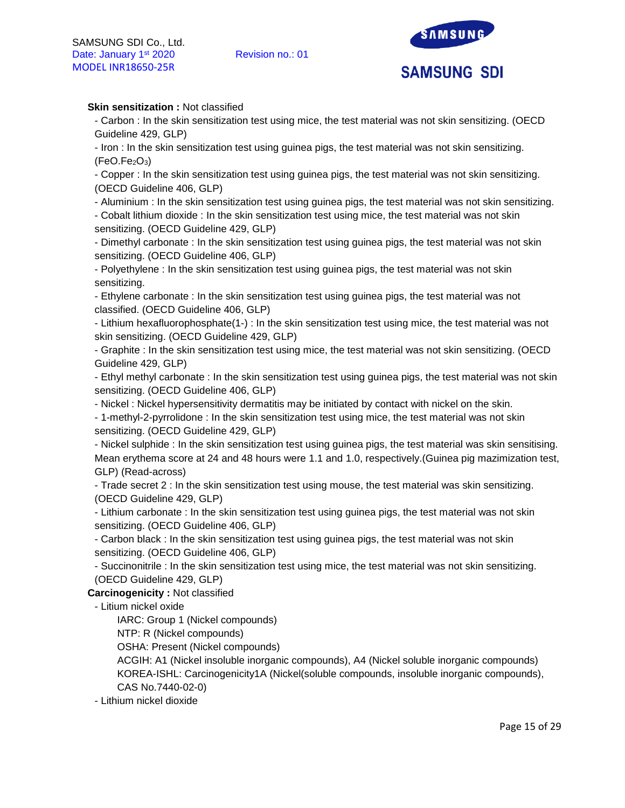

# **Skin sensitization : Not classified**

- Carbon : In the skin sensitization test using mice, the test material was not skin sensitizing. (OECD Guideline 429, GLP)

- Iron : In the skin sensitization test using guinea pigs, the test material was not skin sensitizing.  $(FeO.Fe<sub>2</sub>O<sub>3</sub>)$ 

- Copper : In the skin sensitization test using guinea pigs, the test material was not skin sensitizing. (OECD Guideline 406, GLP)

- Aluminium : In the skin sensitization test using guinea pigs, the test material was not skin sensitizing.

- Cobalt lithium dioxide : In the skin sensitization test using mice, the test material was not skin sensitizing. (OECD Guideline 429, GLP)

- Dimethyl carbonate : In the skin sensitization test using guinea pigs, the test material was not skin sensitizing. (OECD Guideline 406, GLP)

- Polyethylene : In the skin sensitization test using guinea pigs, the test material was not skin sensitizing.

- Ethylene carbonate : In the skin sensitization test using guinea pigs, the test material was not classified. (OECD Guideline 406, GLP)

- Lithium hexafluorophosphate(1-) : In the skin sensitization test using mice, the test material was not skin sensitizing. (OECD Guideline 429, GLP)

- Graphite : In the skin sensitization test using mice, the test material was not skin sensitizing. (OECD Guideline 429, GLP)

- Ethyl methyl carbonate : In the skin sensitization test using guinea pigs, the test material was not skin sensitizing. (OECD Guideline 406, GLP)

- Nickel : Nickel hypersensitivity dermatitis may be initiated by contact with nickel on the skin.

- 1-methyl-2-pyrrolidone : In the skin sensitization test using mice, the test material was not skin sensitizing. (OECD Guideline 429, GLP)

- Nickel sulphide : In the skin sensitization test using guinea pigs, the test material was skin sensitising. Mean erythema score at 24 and 48 hours were 1.1 and 1.0, respectively.(Guinea pig mazimization test, GLP) (Read-across)

- Trade secret 2 : In the skin sensitization test using mouse, the test material was skin sensitizing. (OECD Guideline 429, GLP)

- Lithium carbonate : In the skin sensitization test using guinea pigs, the test material was not skin sensitizing. (OECD Guideline 406, GLP)

- Carbon black : In the skin sensitization test using guinea pigs, the test material was not skin sensitizing. (OECD Guideline 406, GLP)

- Succinonitrile : In the skin sensitization test using mice, the test material was not skin sensitizing. (OECD Guideline 429, GLP)

**Carcinogenicity :** Not classified

- Litium nickel oxide

IARC: Group 1 (Nickel compounds)

NTP: R (Nickel compounds)

OSHA: Present (Nickel compounds)

ACGIH: A1 (Nickel insoluble inorganic compounds), A4 (Nickel soluble inorganic compounds) KOREA-ISHL: Carcinogenicity1A (Nickel(soluble compounds, insoluble inorganic compounds), CAS No.7440-02-0)

- Lithium nickel dioxide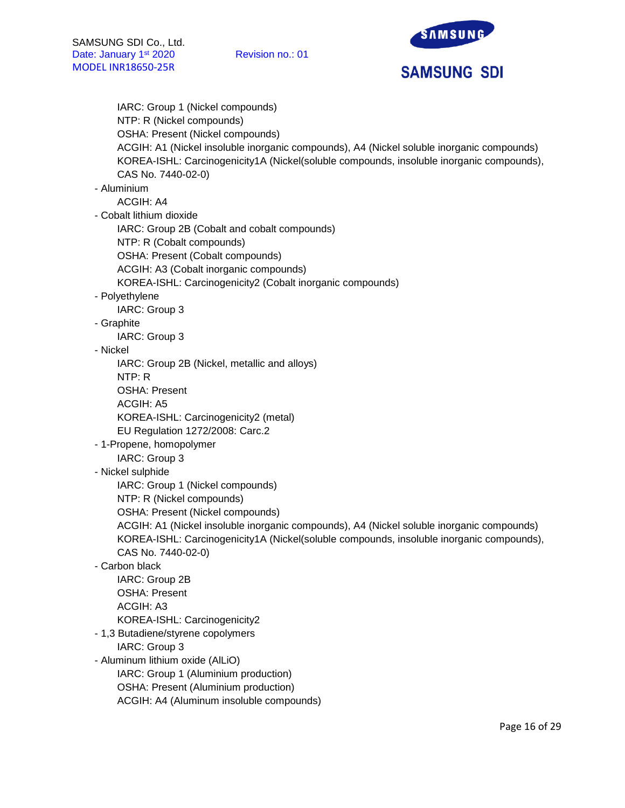

IARC: Group 1 (Nickel compounds) NTP: R (Nickel compounds) OSHA: Present (Nickel compounds) ACGIH: A1 (Nickel insoluble inorganic compounds), A4 (Nickel soluble inorganic compounds) KOREA-ISHL: Carcinogenicity1A (Nickel(soluble compounds, insoluble inorganic compounds), CAS No. 7440-02-0) - Aluminium ACGIH: A4 - Cobalt lithium dioxide IARC: Group 2B (Cobalt and cobalt compounds) NTP: R (Cobalt compounds) OSHA: Present (Cobalt compounds) ACGIH: A3 (Cobalt inorganic compounds) KOREA-ISHL: Carcinogenicity2 (Cobalt inorganic compounds) - Polyethylene IARC: Group 3 - Graphite IARC: Group 3 - Nickel IARC: Group 2B (Nickel, metallic and alloys) NTP: R OSHA: Present ACGIH: A5 KOREA-ISHL: Carcinogenicity2 (metal) EU Regulation 1272/2008: Carc.2 - 1-Propene, homopolymer IARC: Group 3 - Nickel sulphide IARC: Group 1 (Nickel compounds) NTP: R (Nickel compounds) OSHA: Present (Nickel compounds) ACGIH: A1 (Nickel insoluble inorganic compounds), A4 (Nickel soluble inorganic compounds) KOREA-ISHL: Carcinogenicity1A (Nickel(soluble compounds, insoluble inorganic compounds), CAS No. 7440-02-0) - Carbon black IARC: Group 2B OSHA: Present ACGIH: A3 KOREA-ISHL: Carcinogenicity2 - 1,3 Butadiene/styrene copolymers IARC: Group 3 - Aluminum lithium oxide (AlLiO) IARC: Group 1 (Aluminium production)

- OSHA: Present (Aluminium production)
- ACGIH: A4 (Aluminum insoluble compounds)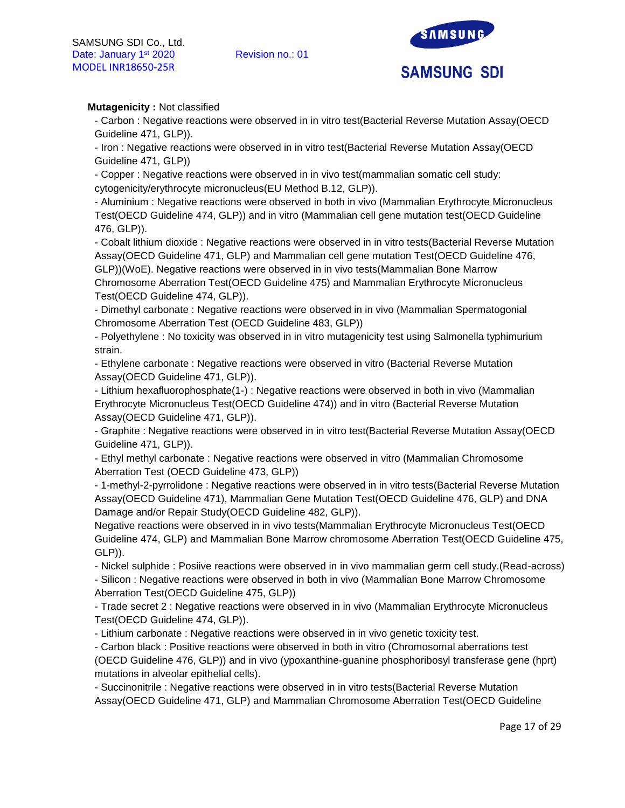

# **Mutagenicity :** Not classified

- Carbon : Negative reactions were observed in in vitro test(Bacterial Reverse Mutation Assay(OECD Guideline 471, GLP)).

- Iron : Negative reactions were observed in in vitro test(Bacterial Reverse Mutation Assay(OECD Guideline 471, GLP))

- Copper : Negative reactions were observed in in vivo test(mammalian somatic cell study: cytogenicity/erythrocyte micronucleus(EU Method B.12, GLP)).

- Aluminium : Negative reactions were observed in both in vivo (Mammalian Erythrocyte Micronucleus Test(OECD Guideline 474, GLP)) and in vitro (Mammalian cell gene mutation test(OECD Guideline 476, GLP)).

- Cobalt lithium dioxide : Negative reactions were observed in in vitro tests(Bacterial Reverse Mutation Assay(OECD Guideline 471, GLP) and Mammalian cell gene mutation Test(OECD Guideline 476, GLP))(WoE). Negative reactions were observed in in vivo tests(Mammalian Bone Marrow Chromosome Aberration Test(OECD Guideline 475) and Mammalian Erythrocyte Micronucleus Test(OECD Guideline 474, GLP)).

- Dimethyl carbonate : Negative reactions were observed in in vivo (Mammalian Spermatogonial Chromosome Aberration Test (OECD Guideline 483, GLP))

- Polyethylene : No toxicity was observed in in vitro mutagenicity test using Salmonella typhimurium strain.

- Ethylene carbonate : Negative reactions were observed in vitro (Bacterial Reverse Mutation Assay(OECD Guideline 471, GLP)).

- Lithium hexafluorophosphate(1-) : Negative reactions were observed in both in vivo (Mammalian Erythrocyte Micronucleus Test(OECD Guideline 474)) and in vitro (Bacterial Reverse Mutation Assay(OECD Guideline 471, GLP)).

- Graphite : Negative reactions were observed in in vitro test(Bacterial Reverse Mutation Assay(OECD Guideline 471, GLP)).

- Ethyl methyl carbonate : Negative reactions were observed in vitro (Mammalian Chromosome Aberration Test (OECD Guideline 473, GLP))

- 1-methyl-2-pyrrolidone : Negative reactions were observed in in vitro tests(Bacterial Reverse Mutation Assay(OECD Guideline 471), Mammalian Gene Mutation Test(OECD Guideline 476, GLP) and DNA Damage and/or Repair Study(OECD Guideline 482, GLP)).

Negative reactions were observed in in vivo tests(Mammalian Erythrocyte Micronucleus Test(OECD Guideline 474, GLP) and Mammalian Bone Marrow chromosome Aberration Test(OECD Guideline 475, GLP)).

- Nickel sulphide : Posiive reactions were observed in in vivo mammalian germ cell study.(Read-across)

- Silicon : Negative reactions were observed in both in vivo (Mammalian Bone Marrow Chromosome Aberration Test(OECD Guideline 475, GLP))

- Trade secret 2 : Negative reactions were observed in in vivo (Mammalian Erythrocyte Micronucleus Test(OECD Guideline 474, GLP)).

- Lithium carbonate : Negative reactions were observed in in vivo genetic toxicity test.

- Carbon black : Positive reactions were observed in both in vitro (Chromosomal aberrations test (OECD Guideline 476, GLP)) and in vivo (ypoxanthine-guanine phosphoribosyl transferase gene (hprt) mutations in alveolar epithelial cells).

- Succinonitrile : Negative reactions were observed in in vitro tests(Bacterial Reverse Mutation Assay(OECD Guideline 471, GLP) and Mammalian Chromosome Aberration Test(OECD Guideline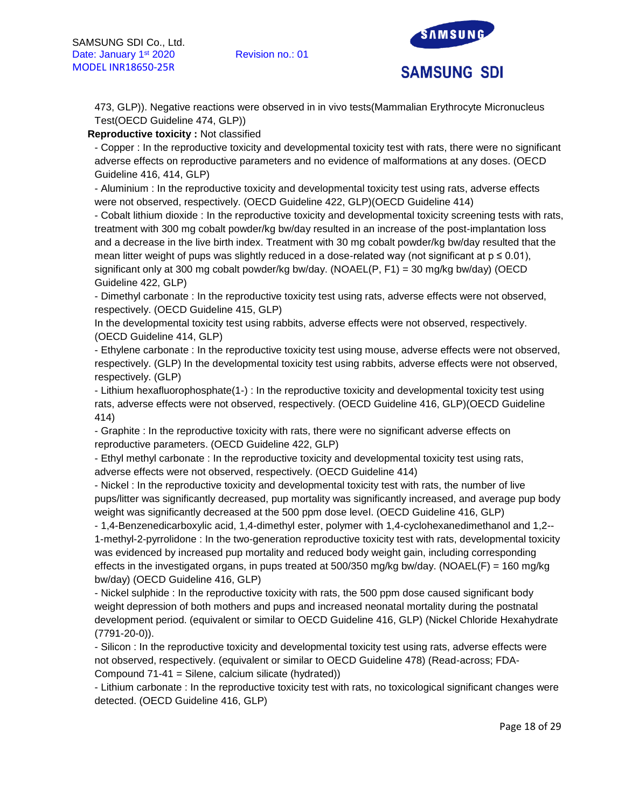

473, GLP)). Negative reactions were observed in in vivo tests(Mammalian Erythrocyte Micronucleus Test(OECD Guideline 474, GLP))

# **Reproductive toxicity :** Not classified

- Copper : In the reproductive toxicity and developmental toxicity test with rats, there were no significant adverse effects on reproductive parameters and no evidence of malformations at any doses. (OECD Guideline 416, 414, GLP)

- Aluminium : In the reproductive toxicity and developmental toxicity test using rats, adverse effects were not observed, respectively. (OECD Guideline 422, GLP)(OECD Guideline 414)

- Cobalt lithium dioxide : In the reproductive toxicity and developmental toxicity screening tests with rats, treatment with 300 mg cobalt powder/kg bw/day resulted in an increase of the post-implantation loss and a decrease in the live birth index. Treatment with 30 mg cobalt powder/kg bw/day resulted that the mean litter weight of pups was slightly reduced in a dose-related way (not significant at  $p \le 0.01$ ), significant only at 300 mg cobalt powder/kg bw/day. (NOAEL(P, F1) = 30 mg/kg bw/day) (OECD Guideline 422, GLP)

- Dimethyl carbonate : In the reproductive toxicity test using rats, adverse effects were not observed, respectively. (OECD Guideline 415, GLP)

In the developmental toxicity test using rabbits, adverse effects were not observed, respectively. (OECD Guideline 414, GLP)

- Ethylene carbonate : In the reproductive toxicity test using mouse, adverse effects were not observed, respectively. (GLP) In the developmental toxicity test using rabbits, adverse effects were not observed, respectively. (GLP)

- Lithium hexafluorophosphate(1-) : In the reproductive toxicity and developmental toxicity test using rats, adverse effects were not observed, respectively. (OECD Guideline 416, GLP)(OECD Guideline 414)

- Graphite : In the reproductive toxicity with rats, there were no significant adverse effects on reproductive parameters. (OECD Guideline 422, GLP)

- Ethyl methyl carbonate : In the reproductive toxicity and developmental toxicity test using rats, adverse effects were not observed, respectively. (OECD Guideline 414)

- Nickel : In the reproductive toxicity and developmental toxicity test with rats, the number of live pups/litter was significantly decreased, pup mortality was significantly increased, and average pup body weight was significantly decreased at the 500 ppm dose level. (OECD Guideline 416, GLP)

- 1,4-Benzenedicarboxylic acid, 1,4-dimethyl ester, polymer with 1,4-cyclohexanedimethanol and 1,2-- 1-methyl-2-pyrrolidone : In the two-generation reproductive toxicity test with rats, developmental toxicity was evidenced by increased pup mortality and reduced body weight gain, including corresponding effects in the investigated organs, in pups treated at 500/350 mg/kg bw/day. (NOAEL(F) = 160 mg/kg bw/day) (OECD Guideline 416, GLP)

- Nickel sulphide : In the reproductive toxicity with rats, the 500 ppm dose caused significant body weight depression of both mothers and pups and increased neonatal mortality during the postnatal development period. (equivalent or similar to OECD Guideline 416, GLP) (Nickel Chloride Hexahydrate (7791-20-0)).

- Silicon : In the reproductive toxicity and developmental toxicity test using rats, adverse effects were not observed, respectively. (equivalent or similar to OECD Guideline 478) (Read-across; FDA-Compound 71-41 = Silene, calcium silicate (hydrated))

- Lithium carbonate : In the reproductive toxicity test with rats, no toxicological significant changes were detected. (OECD Guideline 416, GLP)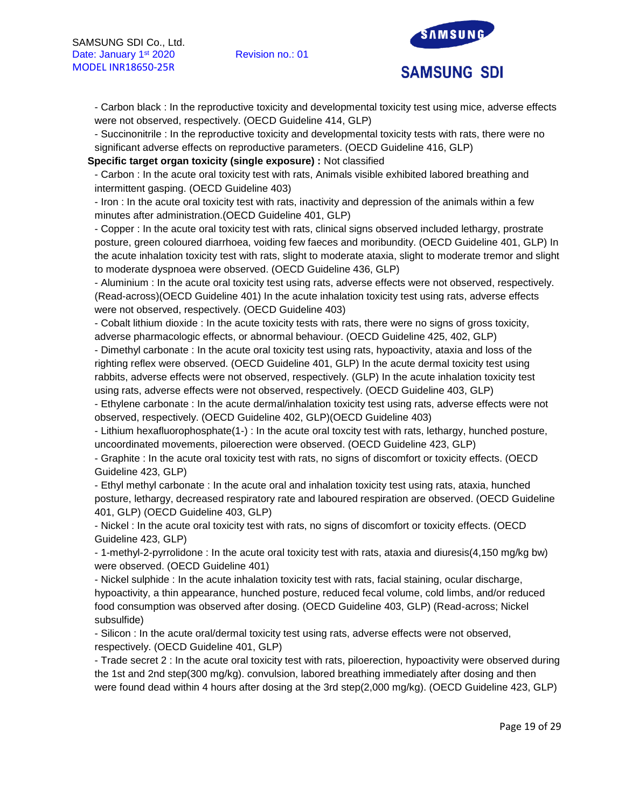

- Carbon black : In the reproductive toxicity and developmental toxicity test using mice, adverse effects were not observed, respectively. (OECD Guideline 414, GLP)

- Succinonitrile : In the reproductive toxicity and developmental toxicity tests with rats, there were no significant adverse effects on reproductive parameters. (OECD Guideline 416, GLP)

**Specific target organ toxicity (single exposure) :** Not classified

- Carbon : In the acute oral toxicity test with rats, Animals visible exhibited labored breathing and intermittent gasping. (OECD Guideline 403)

- Iron : In the acute oral toxicity test with rats, inactivity and depression of the animals within a few minutes after administration.(OECD Guideline 401, GLP)

- Copper : In the acute oral toxicity test with rats, clinical signs observed included lethargy, prostrate posture, green coloured diarrhoea, voiding few faeces and moribundity. (OECD Guideline 401, GLP) In the acute inhalation toxicity test with rats, slight to moderate ataxia, slight to moderate tremor and slight to moderate dyspnoea were observed. (OECD Guideline 436, GLP)

- Aluminium : In the acute oral toxicity test using rats, adverse effects were not observed, respectively. (Read-across)(OECD Guideline 401) In the acute inhalation toxicity test using rats, adverse effects were not observed, respectively. (OECD Guideline 403)

- Cobalt lithium dioxide : In the acute toxicity tests with rats, there were no signs of gross toxicity, adverse pharmacologic effects, or abnormal behaviour. (OECD Guideline 425, 402, GLP)

- Dimethyl carbonate : In the acute oral toxicity test using rats, hypoactivity, ataxia and loss of the righting reflex were observed. (OECD Guideline 401, GLP) In the acute dermal toxicity test using rabbits, adverse effects were not observed, respectively. (GLP) In the acute inhalation toxicity test using rats, adverse effects were not observed, respectively. (OECD Guideline 403, GLP)

- Ethylene carbonate : In the acute dermal/inhalation toxicity test using rats, adverse effects were not observed, respectively. (OECD Guideline 402, GLP)(OECD Guideline 403)

- Lithium hexafluorophosphate(1-) : In the acute oral toxcity test with rats, lethargy, hunched posture, uncoordinated movements, piloerection were observed. (OECD Guideline 423, GLP)

- Graphite : In the acute oral toxicity test with rats, no signs of discomfort or toxicity effects. (OECD Guideline 423, GLP)

- Ethyl methyl carbonate : In the acute oral and inhalation toxicity test using rats, ataxia, hunched posture, lethargy, decreased respiratory rate and laboured respiration are observed. (OECD Guideline 401, GLP) (OECD Guideline 403, GLP)

- Nickel : In the acute oral toxicity test with rats, no signs of discomfort or toxicity effects. (OECD Guideline 423, GLP)

- 1-methyl-2-pyrrolidone : In the acute oral toxicity test with rats, ataxia and diuresis(4,150 mg/kg bw) were observed. (OECD Guideline 401)

- Nickel sulphide : In the acute inhalation toxicity test with rats, facial staining, ocular discharge, hypoactivity, a thin appearance, hunched posture, reduced fecal volume, cold limbs, and/or reduced food consumption was observed after dosing. (OECD Guideline 403, GLP) (Read-across; Nickel subsulfide)

- Silicon : In the acute oral/dermal toxicity test using rats, adverse effects were not observed, respectively. (OECD Guideline 401, GLP)

- Trade secret 2 : In the acute oral toxicity test with rats, piloerection, hypoactivity were observed during the 1st and 2nd step(300 mg/kg). convulsion, labored breathing immediately after dosing and then were found dead within 4 hours after dosing at the 3rd step(2,000 mg/kg). (OECD Guideline 423, GLP)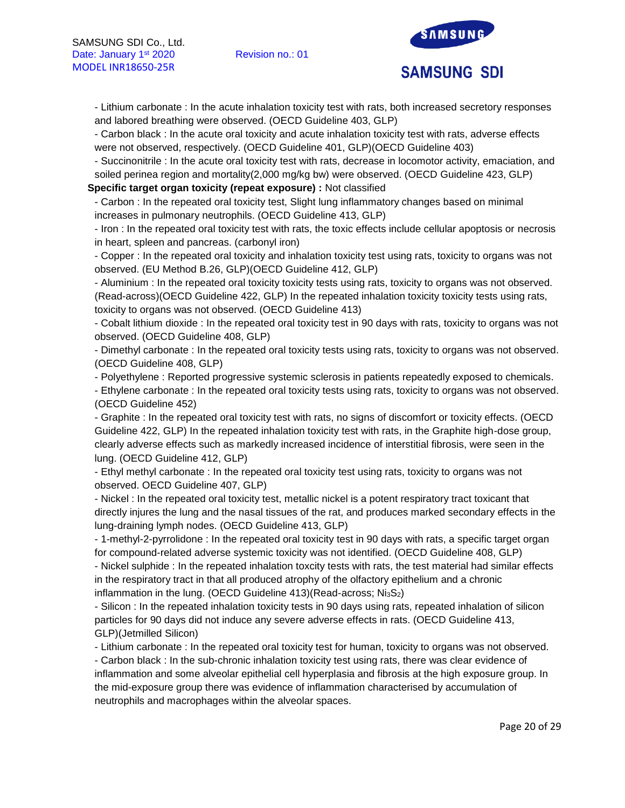

- Lithium carbonate : In the acute inhalation toxicity test with rats, both increased secretory responses and labored breathing were observed. (OECD Guideline 403, GLP)

- Carbon black : In the acute oral toxicity and acute inhalation toxicity test with rats, adverse effects were not observed, respectively. (OECD Guideline 401, GLP)(OECD Guideline 403)

- Succinonitrile : In the acute oral toxicity test with rats, decrease in locomotor activity, emaciation, and soiled perinea region and mortality(2,000 mg/kg bw) were observed. (OECD Guideline 423, GLP)

**Specific target organ toxicity (repeat exposure) :** Not classified

- Carbon : In the repeated oral toxicity test, Slight lung inflammatory changes based on minimal increases in pulmonary neutrophils. (OECD Guideline 413, GLP)

- Iron : In the repeated oral toxicity test with rats, the toxic effects include cellular apoptosis or necrosis in heart, spleen and pancreas. (carbonyl iron)

- Copper : In the repeated oral toxicity and inhalation toxicity test using rats, toxicity to organs was not observed. (EU Method B.26, GLP)(OECD Guideline 412, GLP)

- Aluminium : In the repeated oral toxicity toxicity tests using rats, toxicity to organs was not observed. (Read-across)(OECD Guideline 422, GLP) In the repeated inhalation toxicity toxicity tests using rats, toxicity to organs was not observed. (OECD Guideline 413)

- Cobalt lithium dioxide : In the repeated oral toxicity test in 90 days with rats, toxicity to organs was not observed. (OECD Guideline 408, GLP)

- Dimethyl carbonate : In the repeated oral toxicity tests using rats, toxicity to organs was not observed. (OECD Guideline 408, GLP)

- Polyethylene : Reported progressive systemic sclerosis in patients repeatedly exposed to chemicals.

- Ethylene carbonate : In the repeated oral toxicity tests using rats, toxicity to organs was not observed. (OECD Guideline 452)

- Graphite : In the repeated oral toxicity test with rats, no signs of discomfort or toxicity effects. (OECD Guideline 422, GLP) In the repeated inhalation toxicity test with rats, in the Graphite high-dose group, clearly adverse effects such as markedly increased incidence of interstitial fibrosis, were seen in the lung. (OECD Guideline 412, GLP)

- Ethyl methyl carbonate : In the repeated oral toxicity test using rats, toxicity to organs was not observed. OECD Guideline 407, GLP)

- Nickel : In the repeated oral toxicity test, metallic nickel is a potent respiratory tract toxicant that directly injures the lung and the nasal tissues of the rat, and produces marked secondary effects in the lung-draining lymph nodes. (OECD Guideline 413, GLP)

- 1-methyl-2-pyrrolidone : In the repeated oral toxicity test in 90 days with rats, a specific target organ for compound-related adverse systemic toxicity was not identified. (OECD Guideline 408, GLP) - Nickel sulphide : In the repeated inhalation toxcity tests with rats, the test material had similar effects in the respiratory tract in that all produced atrophy of the olfactory epithelium and a chronic inflammation in the lung. (OECD Guideline  $413$ )(Read-across; Ni $_3S_2$ )

- Silicon : In the repeated inhalation toxicity tests in 90 days using rats, repeated inhalation of silicon particles for 90 days did not induce any severe adverse effects in rats. (OECD Guideline 413, GLP)(Jetmilled Silicon)

- Lithium carbonate : In the repeated oral toxicity test for human, toxicity to organs was not observed.

- Carbon black : In the sub-chronic inhalation toxicity test using rats, there was clear evidence of inflammation and some alveolar epithelial cell hyperplasia and fibrosis at the high exposure group. In the mid-exposure group there was evidence of inflammation characterised by accumulation of neutrophils and macrophages within the alveolar spaces.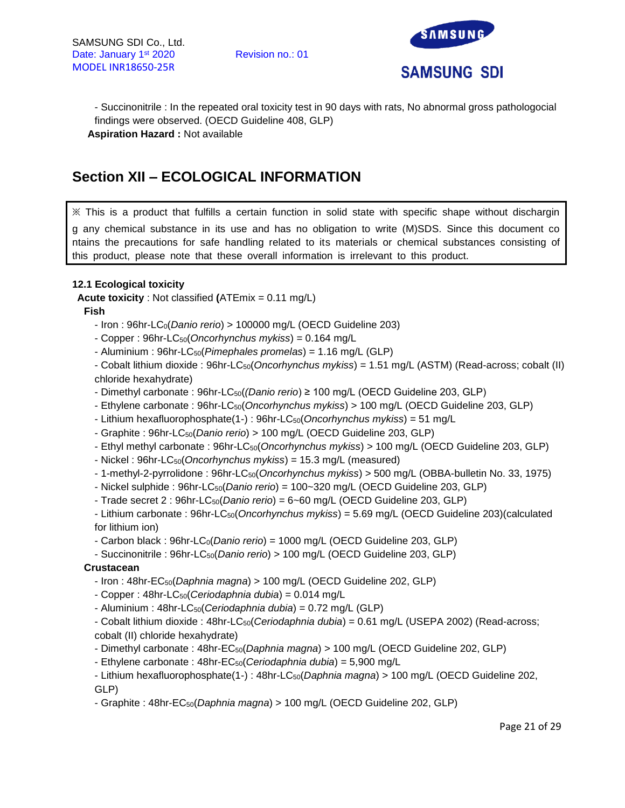

- Succinonitrile : In the repeated oral toxicity test in 90 days with rats, No abnormal gross pathologocial findings were observed. (OECD Guideline 408, GLP) **Aspiration Hazard :** Not available

# **Section XII – ECOLOGICAL INFORMATION**

※ This is a product that fulfills a certain function in solid state with specific shape without dischargin g any chemical substance in its use and has no obligation to write (M)SDS. Since this document co ntains the precautions for safe handling related to its materials or chemical substances consisting of this product, please note that these overall information is irrelevant to this product.

# **12.1 Ecological toxicity**

**Acute toxicity** : Not classified **(**ATEmix = 0.11 mg/L)

**Fish** 

- Iron : 96hr-LC0(*Danio rerio*) > 100000 mg/L (OECD Guideline 203)

- Copper : 96hr-LC50(*Oncorhynchus mykiss*) = 0.164 mg/L

- Aluminium : 96hr-LC50(*Pimephales promelas*) = 1.16 mg/L (GLP)

- Cobalt lithium dioxide : 96hr-LC50(*Oncorhynchus mykiss*) = 1.51 mg/L (ASTM) (Read-across; cobalt (II) chloride hexahydrate)

- Dimethyl carbonate : 96hr-LC50(*(Danio rerio*) ≥ 100 mg/L (OECD Guideline 203, GLP)

- Ethylene carbonate : 96hr-LC50(*Oncorhynchus mykiss*) > 100 mg/L (OECD Guideline 203, GLP)
- Lithium hexafluorophosphate(1-) : 96hr-LC50(*Oncorhynchus mykiss*) = 51 mg/L
- Graphite : 96hr-LC50(*Danio rerio*) > 100 mg/L (OECD Guideline 203, GLP)
- Ethyl methyl carbonate : 96hr-LC50(*Oncorhynchus mykiss*) > 100 mg/L (OECD Guideline 203, GLP)
- Nickel : 96hr-LC50(*Oncorhynchus mykiss*) = 15.3 mg/L (measured)
- 1-methyl-2-pyrrolidone : 96hr-LC50(*Oncorhynchus mykiss*) > 500 mg/L (OBBA-bulletin No. 33, 1975)
- Nickel sulphide : 96hr-LC50(*Danio rerio*) = 100~320 mg/L (OECD Guideline 203, GLP)
- Trade secret 2 : 96hr-LC50(*Danio rerio*) = 6~60 mg/L (OECD Guideline 203, GLP)

- Lithium carbonate : 96hr-LC50(*Oncorhynchus mykiss*) = 5.69 mg/L (OECD Guideline 203)(calculated for lithium ion)

- Carbon black : 96hr-LC0(*Danio rerio*) = 1000 mg/L (OECD Guideline 203, GLP)

- Succinonitrile : 96hr-LC50(*Danio rerio*) > 100 mg/L (OECD Guideline 203, GLP)

# **Crustacean**

- Iron : 48hr-EC50(*Daphnia magna*) > 100 mg/L (OECD Guideline 202, GLP)

- Copper : 48hr-LC50(*Ceriodaphnia dubia*) = 0.014 mg/L
- Aluminium : 48hr-LC50(*Ceriodaphnia dubia*) = 0.72 mg/L (GLP)

- Cobalt lithium dioxide : 48hr-LC50(*Ceriodaphnia dubia*) = 0.61 mg/L (USEPA 2002) (Read-across; cobalt (II) chloride hexahydrate)

- Dimethyl carbonate : 48hr-EC50(*Daphnia magna*) > 100 mg/L (OECD Guideline 202, GLP)

- Ethylene carbonate : 48hr-EC50(*Ceriodaphnia dubia*) = 5,900 mg/L

- Lithium hexafluorophosphate(1-) : 48hr-LC50(*Daphnia magna*) > 100 mg/L (OECD Guideline 202, GLP)

- Graphite : 48hr-EC50(*Daphnia magna*) > 100 mg/L (OECD Guideline 202, GLP)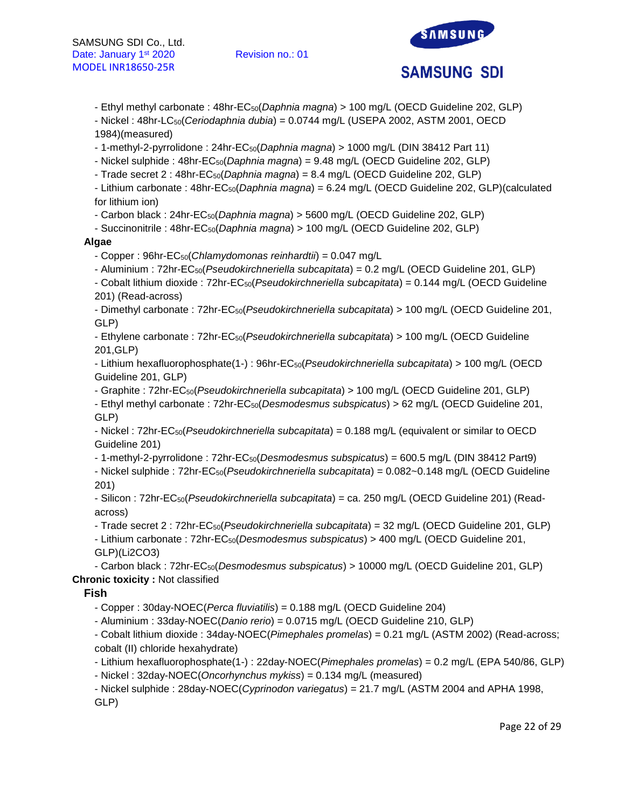

- Ethyl methyl carbonate : 48hr-EC50(*Daphnia magna*) > 100 mg/L (OECD Guideline 202, GLP)

- Nickel : 48hr-LC50(*Ceriodaphnia dubia*) = 0.0744 mg/L (USEPA 2002, ASTM 2001, OECD 1984)(measured)

- 1-methyl-2-pyrrolidone : 24hr-EC50(*Daphnia magna*) > 1000 mg/L (DIN 38412 Part 11)

- Nickel sulphide : 48hr-EC50(*Daphnia magna*) = 9.48 mg/L (OECD Guideline 202, GLP)

- Trade secret 2 : 48hr-EC50(*Daphnia magna*) = 8.4 mg/L (OECD Guideline 202, GLP)

- Lithium carbonate : 48hr-EC50(*Daphnia magna*) = 6.24 mg/L (OECD Guideline 202, GLP)(calculated for lithium ion)

- Carbon black : 24hr-EC50(*Daphnia magna*) > 5600 mg/L (OECD Guideline 202, GLP)

- Succinonitrile : 48hr-EC50(*Daphnia magna*) > 100 mg/L (OECD Guideline 202, GLP)

# **Algae**

- Copper : 96hr-EC50(*Chlamydomonas reinhardtii*) = 0.047 mg/L

- Aluminium : 72hr-EC50(*Pseudokirchneriella subcapitata*) = 0.2 mg/L (OECD Guideline 201, GLP)

- Cobalt lithium dioxide : 72hr-EC50(*Pseudokirchneriella subcapitata*) = 0.144 mg/L (OECD Guideline 201) (Read-across)

- Dimethyl carbonate : 72hr-EC50(*Pseudokirchneriella subcapitata*) > 100 mg/L (OECD Guideline 201, GLP)

- Ethylene carbonate : 72hr-EC50(*Pseudokirchneriella subcapitata*) > 100 mg/L (OECD Guideline 201,GLP)

- Lithium hexafluorophosphate(1-) : 96hr-EC50(*Pseudokirchneriella subcapitata*) > 100 mg/L (OECD Guideline 201, GLP)

- Graphite : 72hr-EC50(*Pseudokirchneriella subcapitata*) > 100 mg/L (OECD Guideline 201, GLP) - Ethyl methyl carbonate : 72hr-EC50(*Desmodesmus subspicatus*) > 62 mg/L (OECD Guideline 201,

GLP)

- Nickel : 72hr-EC50(*Pseudokirchneriella subcapitata*) = 0.188 mg/L (equivalent or similar to OECD Guideline 201)

- 1-methyl-2-pyrrolidone : 72hr-EC50(*Desmodesmus subspicatus*) = 600.5 mg/L (DIN 38412 Part9)

- Nickel sulphide : 72hr-EC50(*Pseudokirchneriella subcapitata*) = 0.082~0.148 mg/L (OECD Guideline 201)

- Silicon : 72hr-EC50(*Pseudokirchneriella subcapitata*) = ca. 250 mg/L (OECD Guideline 201) (Readacross)

- Trade secret 2 : 72hr-EC50(*Pseudokirchneriella subcapitata*) = 32 mg/L (OECD Guideline 201, GLP) - Lithium carbonate : 72hr-EC50(*Desmodesmus subspicatus*) > 400 mg/L (OECD Guideline 201, GLP)(Li2CO3)

- Carbon black : 72hr-EC50(*Desmodesmus subspicatus*) > 10000 mg/L (OECD Guideline 201, GLP) **Chronic toxicity :** Not classified

# **Fish**

- Copper : 30day-NOEC(*Perca fluviatilis*) = 0.188 mg/L (OECD Guideline 204)

- Aluminium : 33day-NOEC(*Danio rerio*) = 0.0715 mg/L (OECD Guideline 210, GLP)

- Cobalt lithium dioxide : 34day-NOEC(*Pimephales promelas*) = 0.21 mg/L (ASTM 2002) (Read-across; cobalt (II) chloride hexahydrate)

- Lithium hexafluorophosphate(1-) : 22day-NOEC(*Pimephales promelas*) = 0.2 mg/L (EPA 540/86, GLP)

- Nickel : 32day-NOEC(*Oncorhynchus mykiss*) = 0.134 mg/L (measured)

- Nickel sulphide : 28day-NOEC(*Cyprinodon variegatus*) = 21.7 mg/L (ASTM 2004 and APHA 1998, GLP)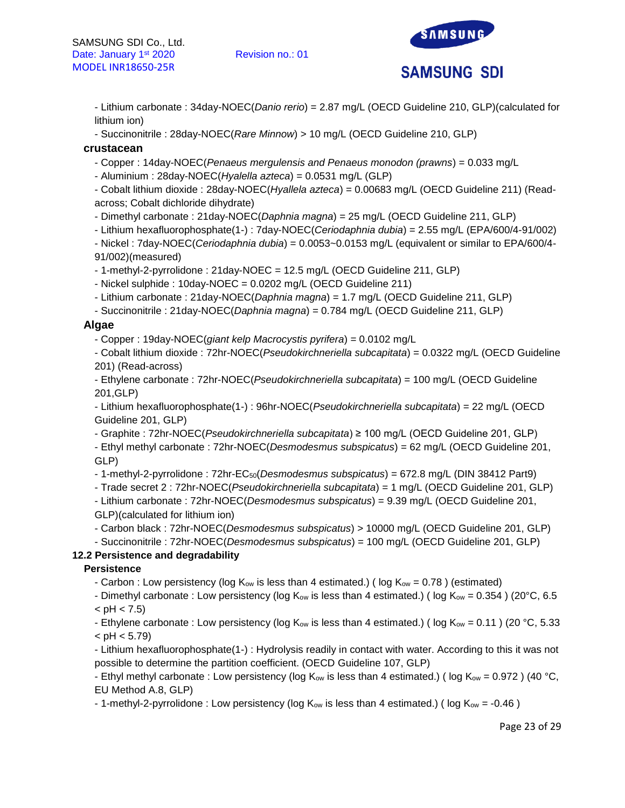

- Lithium carbonate : 34day-NOEC(*Danio rerio*) = 2.87 mg/L (OECD Guideline 210, GLP)(calculated for lithium ion)

- Succinonitrile : 28day-NOEC(*Rare Minnow*) > 10 mg/L (OECD Guideline 210, GLP)

### **crustacean**

- Copper : 14day-NOEC(*Penaeus mergulensis and Penaeus monodon (prawns*) = 0.033 mg/L
- Aluminium : 28day-NOEC(*Hyalella azteca*) = 0.0531 mg/L (GLP)

- Cobalt lithium dioxide : 28day-NOEC(*Hyallela azteca*) = 0.00683 mg/L (OECD Guideline 211) (Readacross; Cobalt dichloride dihydrate)

- Dimethyl carbonate : 21day-NOEC(*Daphnia magna*) = 25 mg/L (OECD Guideline 211, GLP)

- Lithium hexafluorophosphate(1-) : 7day-NOEC(*Ceriodaphnia dubia*) = 2.55 mg/L (EPA/600/4-91/002)

- Nickel : 7day-NOEC(*Ceriodaphnia dubia*) = 0.0053~0.0153 mg/L (equivalent or similar to EPA/600/4- 91/002)(measured)

- 1-methyl-2-pyrrolidone : 21day-NOEC = 12.5 mg/L (OECD Guideline 211, GLP)

- Nickel sulphide : 10day-NOEC = 0.0202 mg/L (OECD Guideline 211)

- Lithium carbonate : 21day-NOEC(*Daphnia magna*) = 1.7 mg/L (OECD Guideline 211, GLP)

- Succinonitrile : 21day-NOEC(*Daphnia magna*) = 0.784 mg/L (OECD Guideline 211, GLP)

#### **Algae**

- Copper : 19day-NOEC(*giant kelp Macrocystis pyrifera*) = 0.0102 mg/L

- Cobalt lithium dioxide : 72hr-NOEC(*Pseudokirchneriella subcapitata*) = 0.0322 mg/L (OECD Guideline 201) (Read-across)

- Ethylene carbonate : 72hr-NOEC(*Pseudokirchneriella subcapitata*) = 100 mg/L (OECD Guideline 201,GLP)

- Lithium hexafluorophosphate(1-) : 96hr-NOEC(*Pseudokirchneriella subcapitata*) = 22 mg/L (OECD Guideline 201, GLP)

- Graphite : 72hr-NOEC(*Pseudokirchneriella subcapitata*) ≥ 100 mg/L (OECD Guideline 201, GLP)

- Ethyl methyl carbonate : 72hr-NOEC(*Desmodesmus subspicatus*) = 62 mg/L (OECD Guideline 201, GLP)

- 1-methyl-2-pyrrolidone : 72hr-EC50(*Desmodesmus subspicatus*) = 672.8 mg/L (DIN 38412 Part9)

- Trade secret 2 : 72hr-NOEC(*Pseudokirchneriella subcapitata*) = 1 mg/L (OECD Guideline 201, GLP)

- Lithium carbonate : 72hr-NOEC(*Desmodesmus subspicatus*) = 9.39 mg/L (OECD Guideline 201, GLP)(calculated for lithium ion)

- Carbon black : 72hr-NOEC(*Desmodesmus subspicatus*) > 10000 mg/L (OECD Guideline 201, GLP)

- Succinonitrile : 72hr-NOEC(*Desmodesmus subspicatus*) = 100 mg/L (OECD Guideline 201, GLP)

# **12.2 Persistence and degradability**

#### **Persistence**

- Carbon : Low persistency (log  $K_{ow}$  is less than 4 estimated.) (log  $K_{ow} = 0.78$ ) (estimated)

- Dimethyl carbonate : Low persistency (log  $K_{ow}$  is less than 4 estimated.) (log  $K_{ow} = 0.354$ ) (20°C, 6.5  $<$  pH  $<$  7.5)

- Ethylene carbonate : Low persistency (log K<sub>ow</sub> is less than 4 estimated.) (log K<sub>ow</sub> = 0.11) (20 °C, 5.33  $<$  pH  $<$  5.79)

- Lithium hexafluorophosphate(1-) : Hydrolysis readily in contact with water. According to this it was not possible to determine the partition coefficient. (OECD Guideline 107, GLP)

- Ethyl methyl carbonate : Low persistency (log K<sub>ow</sub> is less than 4 estimated.) (log K<sub>ow</sub> = 0.972) (40 °C, EU Method A.8, GLP)

- 1-methyl-2-pyrrolidone : Low persistency (log  $K_{ow}$  is less than 4 estimated.) (log  $K_{ow} = -0.46$ )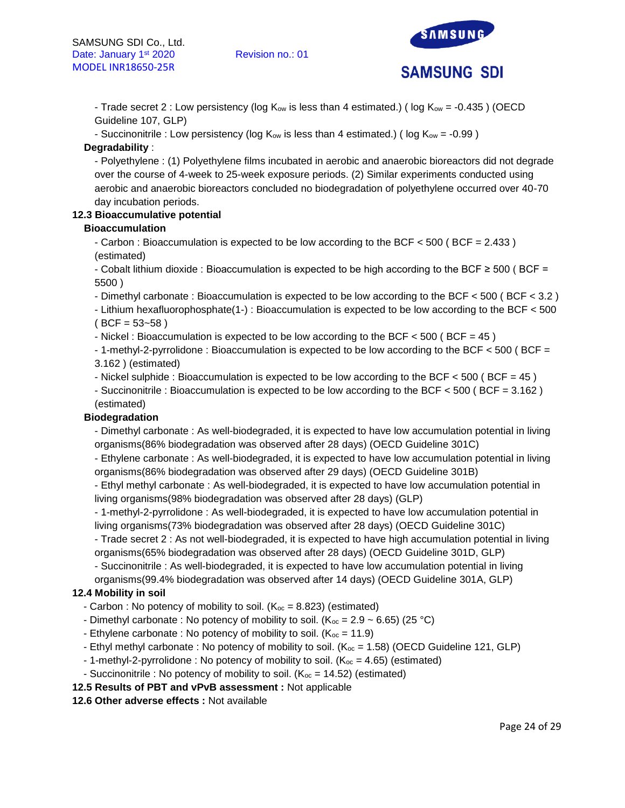



- Trade secret 2 : Low persistency (log  $K_{ow}$  is less than 4 estimated.) (log  $K_{ow} = -0.435$ ) (OECD Guideline 107, GLP)

- Succinonitrile : Low persistency (log  $K_{ow}$  is less than 4 estimated.) (log  $K_{ow} = -0.99$ )

# **Degradability** :

- Polyethylene : (1) Polyethylene films incubated in aerobic and anaerobic bioreactors did not degrade over the course of 4-week to 25-week exposure periods. (2) Similar experiments conducted using aerobic and anaerobic bioreactors concluded no biodegradation of polyethylene occurred over 40-70 day incubation periods.

# **12.3 Bioaccumulative potential**

# **Bioaccumulation**

- Carbon : Bioaccumulation is expected to be low according to the BCF < 500 ( BCF = 2.433 ) (estimated)

- Cobalt lithium dioxide : Bioaccumulation is expected to be high according to the BCF ≥ 500 ( BCF = 5500 )

- Dimethyl carbonate : Bioaccumulation is expected to be low according to the BCF < 500 ( BCF < 3.2 )

- Lithium hexafluorophosphate(1-) : Bioaccumulation is expected to be low according to the BCF < 500  $(BCF = 53 - 58)$ 

- Nickel : Bioaccumulation is expected to be low according to the BCF  $<$  500 (BCF = 45)

- 1-methyl-2-pyrrolidone : Bioaccumulation is expected to be low according to the BCF < 500 ( BCF = 3.162 ) (estimated)

- Nickel sulphide : Bioaccumulation is expected to be low according to the BCF  $<$  500 (BCF = 45)

- Succinonitrile : Bioaccumulation is expected to be low according to the BCF < 500 ( BCF = 3.162 )

(estimated)

# **Biodegradation**

- Dimethyl carbonate : As well-biodegraded, it is expected to have low accumulation potential in living organisms(86% biodegradation was observed after 28 days) (OECD Guideline 301C)

- Ethylene carbonate : As well-biodegraded, it is expected to have low accumulation potential in living organisms(86% biodegradation was observed after 29 days) (OECD Guideline 301B)

- Ethyl methyl carbonate : As well-biodegraded, it is expected to have low accumulation potential in living organisms(98% biodegradation was observed after 28 days) (GLP)

- 1-methyl-2-pyrrolidone : As well-biodegraded, it is expected to have low accumulation potential in living organisms(73% biodegradation was observed after 28 days) (OECD Guideline 301C)

- Trade secret 2 : As not well-biodegraded, it is expected to have high accumulation potential in living organisms(65% biodegradation was observed after 28 days) (OECD Guideline 301D, GLP)

- Succinonitrile : As well-biodegraded, it is expected to have low accumulation potential in living organisms(99.4% biodegradation was observed after 14 days) (OECD Guideline 301A, GLP)

# **12.4 Mobility in soil**

- Carbon : No potency of mobility to soil.  $(K_{\text{oc}} = 8.823)$  (estimated)
- Dimethyl carbonate : No potency of mobility to soil. (K<sub>oc</sub> = 2.9 ~ 6.65) (25 °C)
- Ethylene carbonate : No potency of mobility to soil.  $(K_{oc} = 11.9)$
- Ethyl methyl carbonate : No potency of mobility to soil.  $(K_{oc} = 1.58)$  (OECD Guideline 121, GLP)
- 1-methyl-2-pyrrolidone : No potency of mobility to soil. ( $K_{\text{oc}} = 4.65$ ) (estimated)
- Succinonitrile : No potency of mobility to soil. ( $K_{oc} = 14.52$ ) (estimated)
- **12.5 Results of PBT and vPvB assessment :** Not applicable

# **12.6 Other adverse effects :** Not available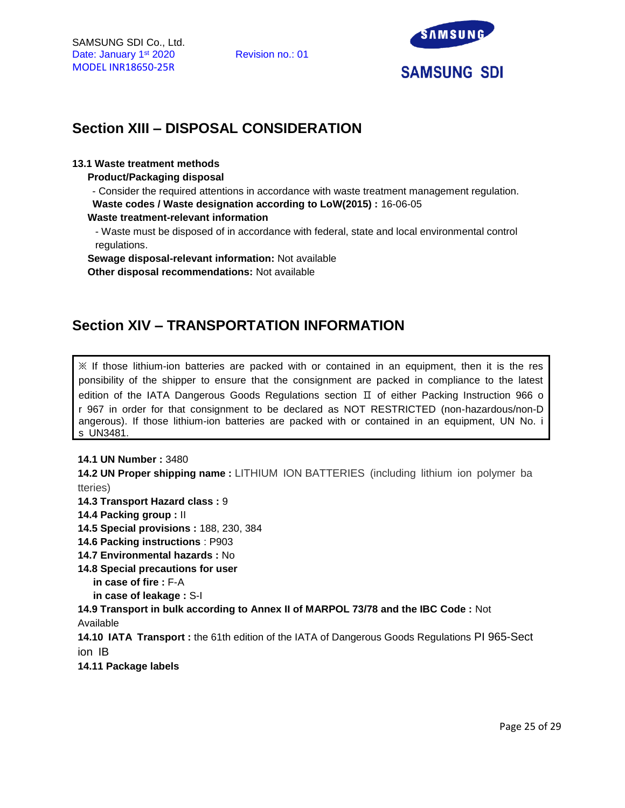

# **Section XIII – DISPOSAL CONSIDERATION**

### **13.1 Waste treatment methods**

**Product/Packaging disposal**

- Consider the required attentions in accordance with waste treatment management regulation. **Waste codes / Waste designation according to LoW(2015) :** 16-06-05

**Waste treatment-relevant information**

- Waste must be disposed of in accordance with federal, state and local environmental control regulations.

**Sewage disposal-relevant information:** Not available

**Other disposal recommendations:** Not available

# **Section XIV – TRANSPORTATION INFORMATION**

 $\mathbb X$  If those lithium-ion batteries are packed with or contained in an equipment, then it is the res ponsibility of the shipper to ensure that the consignment are packed in compliance to the latest edition of the IATA Dangerous Goods Regulations section Ⅱ of either Packing Instruction 966 o r 967 in order for that consignment to be declared as NOT RESTRICTED (non-hazardous/non-D angerous). If those lithium-ion batteries are packed with or contained in an equipment, UN No. i s UN3481.

#### **14.1 UN Number :** 3480

**14.2 UN Proper shipping name :** LITHIUM ION BATTERIES (including lithium ion polymer ba tteries)

**14.3 Transport Hazard class :** 9

- **14.4 Packing group :** II
- **14.5 Special provisions :** 188, 230, 384
- **14.6 Packing instructions** : P903
- **14.7 Environmental hazards :** No
- **14.8 Special precautions for user** 
	- **in case of fire :** F-A
	- **in case of leakage :** S-I

**14.9 Transport in bulk according to Annex II of MARPOL 73/78 and the IBC Code :** Not Available

**14.10 IATA Transport :** the 61th edition of the IATA of Dangerous Goods Regulations PI 965-Sect ion IB

**14.11 Package labels**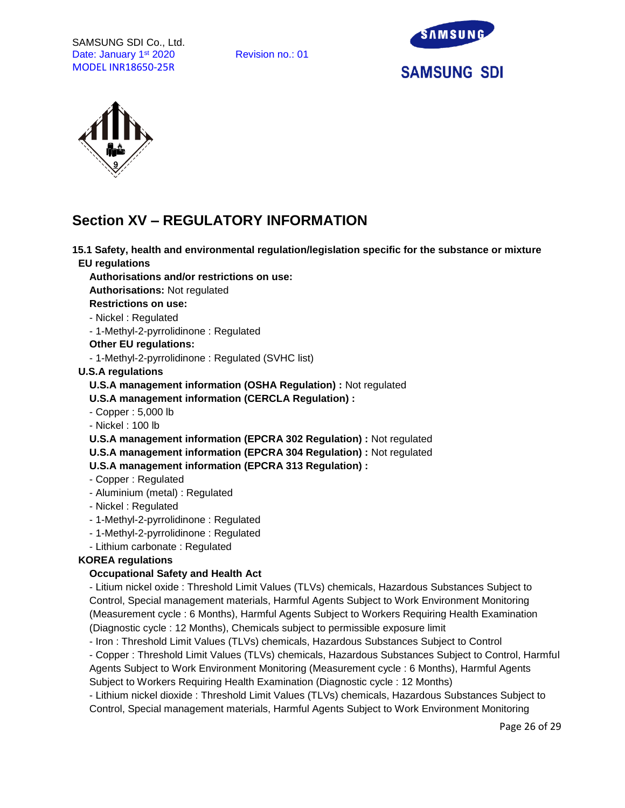SAMSUNG SDI Co., Ltd. Date: January 1<sup>st</sup> 2020 Revision no.: 01 MODEL INR18650-25R





# **Section XV – REGULATORY INFORMATION**

**15.1 Safety, health and environmental regulation/legislation specific for the substance or mixture EU regulations**

**Authorisations and/or restrictions on use:**

**Authorisations:** Not regulated

**Restrictions on use:**

- Nickel : Regulated

- 1-Methyl-2-pyrrolidinone : Regulated

#### **Other EU regulations:**

- 1-Methyl-2-pyrrolidinone : Regulated (SVHC list)

#### **U.S.A regulations**

**U.S.A management information (OSHA Regulation) :** Not regulated

**U.S.A management information (CERCLA Regulation) :**

- Copper : 5,000 lb

- Nickel : 100 lb

**U.S.A management information (EPCRA 302 Regulation) :** Not regulated

**U.S.A management information (EPCRA 304 Regulation) :** Not regulated

**U.S.A management information (EPCRA 313 Regulation) :**

- Copper : Regulated
- Aluminium (metal) : Regulated
- Nickel : Regulated
- 1-Methyl-2-pyrrolidinone : Regulated
- 1-Methyl-2-pyrrolidinone : Regulated
- Lithium carbonate : Regulated

# **KOREA regulations**

# **Occupational Safety and Health Act**

- Litium nickel oxide : Threshold Limit Values (TLVs) chemicals, Hazardous Substances Subject to Control, Special management materials, Harmful Agents Subject to Work Environment Monitoring (Measurement cycle : 6 Months), Harmful Agents Subject to Workers Requiring Health Examination (Diagnostic cycle : 12 Months), Chemicals subject to permissible exposure limit

- Iron : Threshold Limit Values (TLVs) chemicals, Hazardous Substances Subject to Control

- Copper : Threshold Limit Values (TLVs) chemicals, Hazardous Substances Subject to Control, Harmful Agents Subject to Work Environment Monitoring (Measurement cycle : 6 Months), Harmful Agents Subject to Workers Requiring Health Examination (Diagnostic cycle : 12 Months)

- Lithium nickel dioxide : Threshold Limit Values (TLVs) chemicals, Hazardous Substances Subject to Control, Special management materials, Harmful Agents Subject to Work Environment Monitoring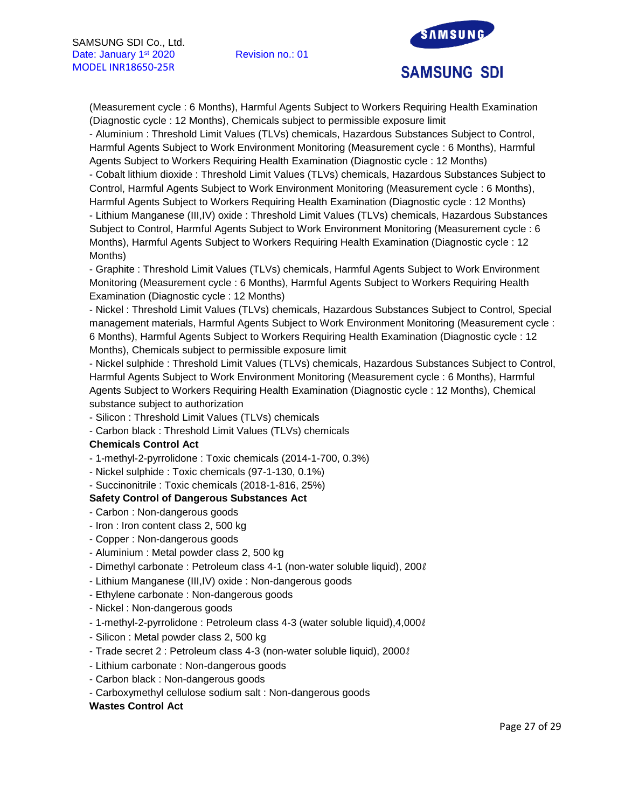

(Measurement cycle : 6 Months), Harmful Agents Subject to Workers Requiring Health Examination (Diagnostic cycle : 12 Months), Chemicals subject to permissible exposure limit

- Aluminium : Threshold Limit Values (TLVs) chemicals, Hazardous Substances Subject to Control, Harmful Agents Subject to Work Environment Monitoring (Measurement cycle : 6 Months), Harmful Agents Subject to Workers Requiring Health Examination (Diagnostic cycle : 12 Months)

- Cobalt lithium dioxide : Threshold Limit Values (TLVs) chemicals, Hazardous Substances Subject to Control, Harmful Agents Subject to Work Environment Monitoring (Measurement cycle : 6 Months), Harmful Agents Subject to Workers Requiring Health Examination (Diagnostic cycle : 12 Months)

- Lithium Manganese (III,IV) oxide : Threshold Limit Values (TLVs) chemicals, Hazardous Substances Subject to Control, Harmful Agents Subject to Work Environment Monitoring (Measurement cycle : 6 Months), Harmful Agents Subject to Workers Requiring Health Examination (Diagnostic cycle : 12 Months)

- Graphite : Threshold Limit Values (TLVs) chemicals, Harmful Agents Subject to Work Environment Monitoring (Measurement cycle : 6 Months), Harmful Agents Subject to Workers Requiring Health Examination (Diagnostic cycle : 12 Months)

- Nickel : Threshold Limit Values (TLVs) chemicals, Hazardous Substances Subject to Control, Special management materials, Harmful Agents Subject to Work Environment Monitoring (Measurement cycle : 6 Months), Harmful Agents Subject to Workers Requiring Health Examination (Diagnostic cycle : 12 Months), Chemicals subject to permissible exposure limit

- Nickel sulphide : Threshold Limit Values (TLVs) chemicals, Hazardous Substances Subject to Control, Harmful Agents Subject to Work Environment Monitoring (Measurement cycle : 6 Months), Harmful Agents Subject to Workers Requiring Health Examination (Diagnostic cycle : 12 Months), Chemical substance subject to authorization

- Silicon : Threshold Limit Values (TLVs) chemicals

- Carbon black : Threshold Limit Values (TLVs) chemicals

# **Chemicals Control Act**

- 1-methyl-2-pyrrolidone : Toxic chemicals (2014-1-700, 0.3%)

- Nickel sulphide : Toxic chemicals (97-1-130, 0.1%)

# - Succinonitrile : Toxic chemicals (2018-1-816, 25%)

# **Safety Control of Dangerous Substances Act**

- Carbon : Non-dangerous goods
- Iron : Iron content class 2, 500 kg
- Copper : Non-dangerous goods
- Aluminium : Metal powder class 2, 500 kg
- Dimethyl carbonate : Petroleum class 4-1 (non-water soluble liquid), 200ℓ
- Lithium Manganese (III,IV) oxide : Non-dangerous goods
- Ethylene carbonate : Non-dangerous goods
- Nickel : Non-dangerous goods
- 1-methyl-2-pyrrolidone : Petroleum class 4-3 (water soluble liquid),4,000ℓ
- Silicon : Metal powder class 2, 500 kg
- Trade secret 2 : Petroleum class 4-3 (non-water soluble liquid), 2000ℓ
- Lithium carbonate : Non-dangerous goods
- Carbon black : Non-dangerous goods
- Carboxymethyl cellulose sodium salt : Non-dangerous goods

#### **Wastes Control Act**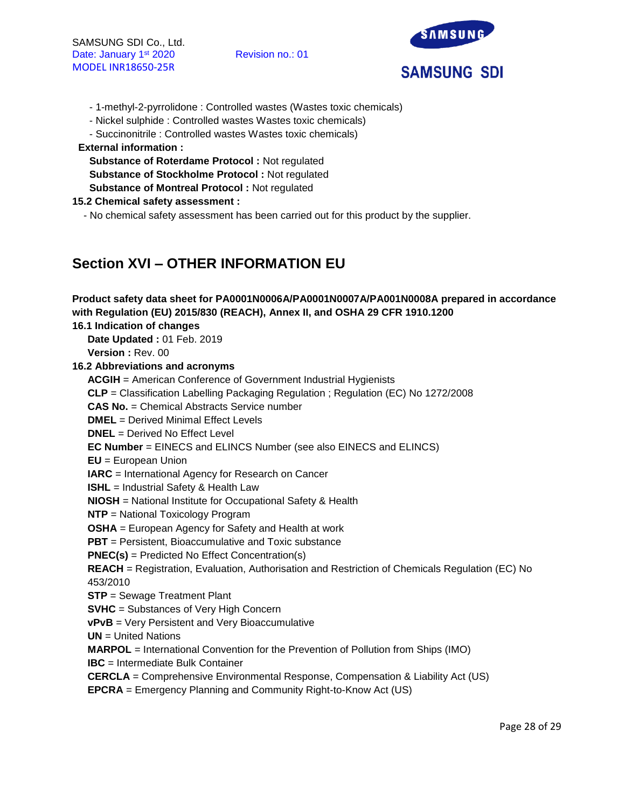

- 1-methyl-2-pyrrolidone : Controlled wastes (Wastes toxic chemicals)
- Nickel sulphide : Controlled wastes Wastes toxic chemicals)
- Succinonitrile : Controlled wastes Wastes toxic chemicals)

# **External information :**

**Substance of Roterdame Protocol :** Not regulated **Substance of Stockholme Protocol :** Not regulated **Substance of Montreal Protocol :** Not regulated

# **15.2 Chemical safety assessment :**

- No chemical safety assessment has been carried out for this product by the supplier.

# **Section XVI – OTHER INFORMATION EU**

| Product safety data sheet for PA0001N0006A/PA0001N0007A/PA001N0008A prepared in accordance      |
|-------------------------------------------------------------------------------------------------|
| with Regulation (EU) 2015/830 (REACH), Annex II, and OSHA 29 CFR 1910.1200                      |
| 16.1 Indication of changes                                                                      |
| Date Updated: 01 Feb. 2019                                                                      |
| Version: Rev. 00                                                                                |
| 16.2 Abbreviations and acronyms                                                                 |
| <b>ACGIH</b> = American Conference of Government Industrial Hygienists                          |
| CLP = Classification Labelling Packaging Regulation; Regulation (EC) No 1272/2008               |
| <b>CAS No.</b> = Chemical Abstracts Service number                                              |
| <b>DMEL</b> = Derived Minimal Effect Levels                                                     |
| <b>DNEL</b> = Derived No Effect Level                                                           |
| <b>EC Number</b> = EINECS and ELINCS Number (see also EINECS and ELINCS)                        |
| $EU = European Union$                                                                           |
| <b>IARC</b> = International Agency for Research on Cancer                                       |
| <b>ISHL</b> = Industrial Safety & Health Law                                                    |
| <b>NIOSH</b> = National Institute for Occupational Safety & Health                              |
| <b>NTP</b> = National Toxicology Program                                                        |
| <b>OSHA</b> = European Agency for Safety and Health at work                                     |
| <b>PBT</b> = Persistent, Bioaccumulative and Toxic substance                                    |
| <b>PNEC(s)</b> = Predicted No Effect Concentration(s)                                           |
| REACH = Registration, Evaluation, Authorisation and Restriction of Chemicals Regulation (EC) No |
| 453/2010                                                                                        |
| <b>STP</b> = Sewage Treatment Plant                                                             |
| <b>SVHC</b> = Substances of Very High Concern                                                   |
| vPvB = Very Persistent and Very Bioaccumulative                                                 |
| $UN = United Nations$                                                                           |
| <b>MARPOL</b> = International Convention for the Prevention of Pollution from Ships (IMO)       |
| <b>IBC</b> = Intermediate Bulk Container                                                        |
| <b>CERCLA</b> = Comprehensive Environmental Response, Compensation & Liability Act (US)         |
| <b>EPCRA</b> = Emergency Planning and Community Right-to-Know Act (US)                          |